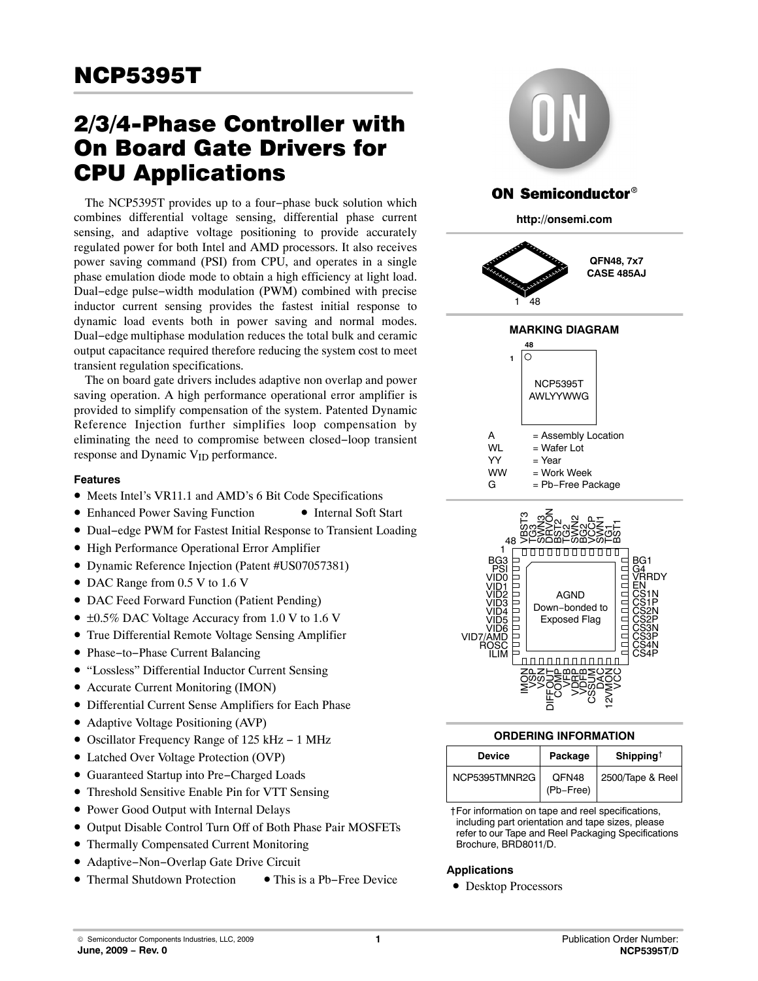# 2/3/4-Phase Controller with On Board Gate Drivers for CPU Applications

The NCP5395T provides up to a four−phase buck solution which combines differential voltage sensing, differential phase current sensing, and adaptive voltage positioning to provide accurately regulated power for both Intel and AMD processors. It also receives power saving command (PSI) from CPU, and operates in a single phase emulation diode mode to obtain a high efficiency at light load. Dual−edge pulse−width modulation (PWM) combined with precise inductor current sensing provides the fastest initial response to dynamic load events both in power saving and normal modes. Dual−edge multiphase modulation reduces the total bulk and ceramic output capacitance required therefore reducing the system cost to meet transient regulation specifications.

The on board gate drivers includes adaptive non overlap and power saving operation. A high performance operational error amplifier is provided to simplify compensation of the system. Patented Dynamic Reference Injection further simplifies loop compensation by eliminating the need to compromise between closed−loop transient response and Dynamic  $V_{ID}$  performance.

#### **Features**

- Meets Intel's VR11.1 and AMD's 6 Bit Code Specifications
- Enhanced Power Saving Function Internal Soft Start
- Dual−edge PWM for Fastest Initial Response to Transient Loading
- High Performance Operational Error Amplifier
- Dynamic Reference Injection (Patent #US07057381)
- DAC Range from 0.5 V to 1.6 V
- DAC Feed Forward Function (Patient Pending)
- ±0.5% DAC Voltage Accuracy from 1.0 V to 1.6 V
- True Differential Remote Voltage Sensing Amplifier
- Phase−to−Phase Current Balancing
- "Lossless" Differential Inductor Current Sensing
- Accurate Current Monitoring (IMON)
- Differential Current Sense Amplifiers for Each Phase
- Adaptive Voltage Positioning (AVP)
- Oscillator Frequency Range of 125 kHz − 1 MHz
- Latched Over Voltage Protection (OVP)
- Guaranteed Startup into Pre−Charged Loads
- Threshold Sensitive Enable Pin for VTT Sensing
- Power Good Output with Internal Delays
- Output Disable Control Turn Off of Both Phase Pair MOSFETs
- Thermally Compensated Current Monitoring
- Adaptive−Non−Overlap Gate Drive Circuit
- Thermal Shutdown Protection This is a Pb−Free Device



| <b>Device</b> | Package            | Shipping <sup>†</sup> |
|---------------|--------------------|-----------------------|
| NCP5395TMNR2G | QFN48<br>(Pb-Free) | 2500/Tape & Reel      |

†For information on tape and reel specifications, including part orientation and tape sizes, please refer to our Tape and Reel Packaging Specifications Brochure, BRD8011/D.

#### **Applications**

• Desktop Processors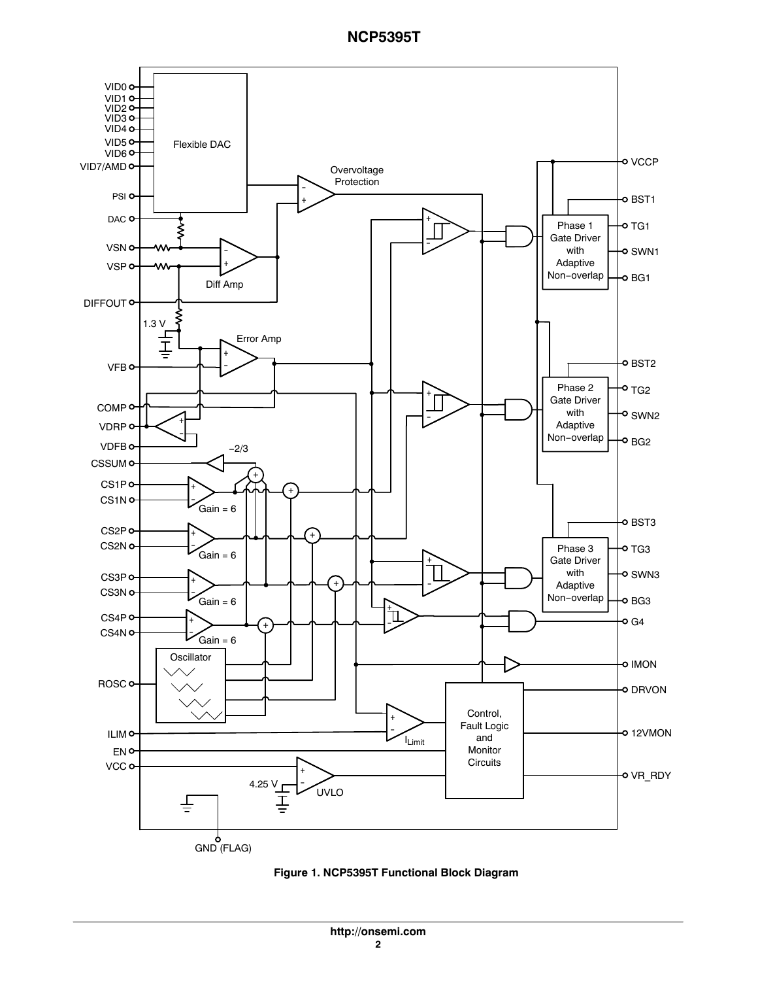

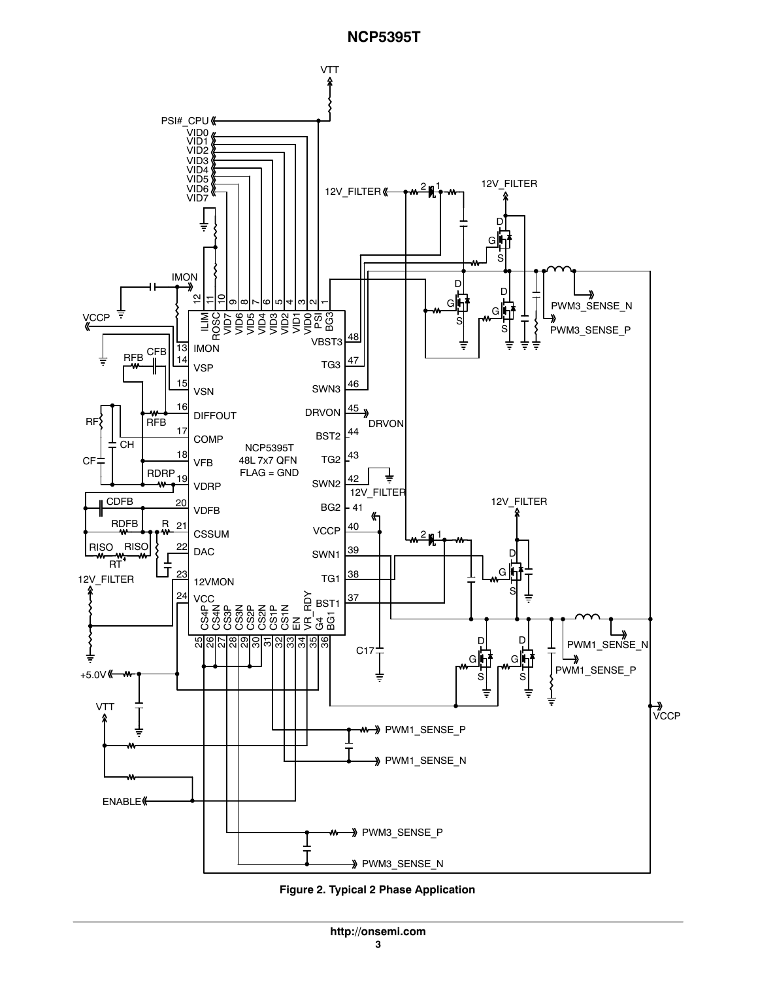

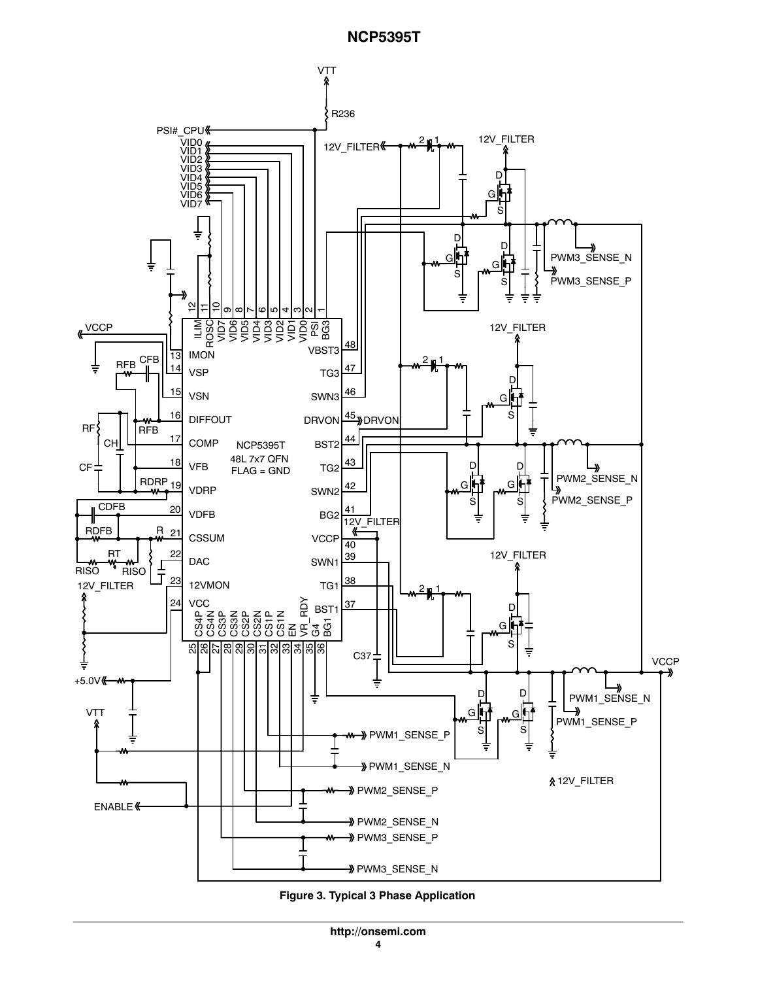

**Figure 3. Typical 3 Phase Application**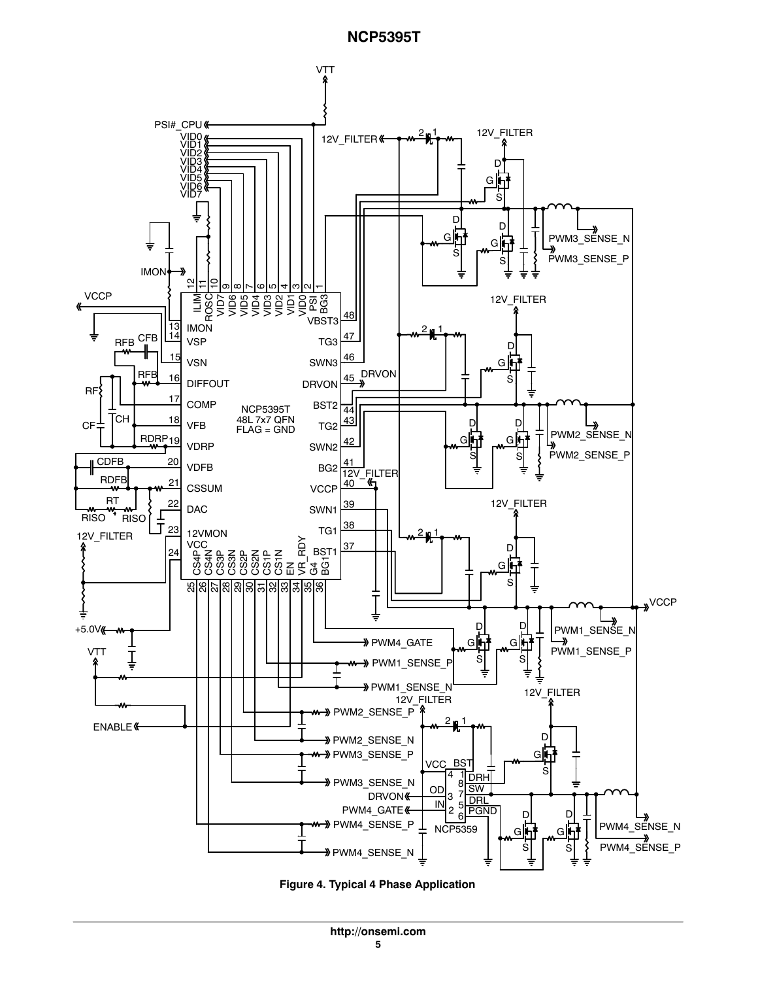

**Figure 4. Typical 4 Phase Application**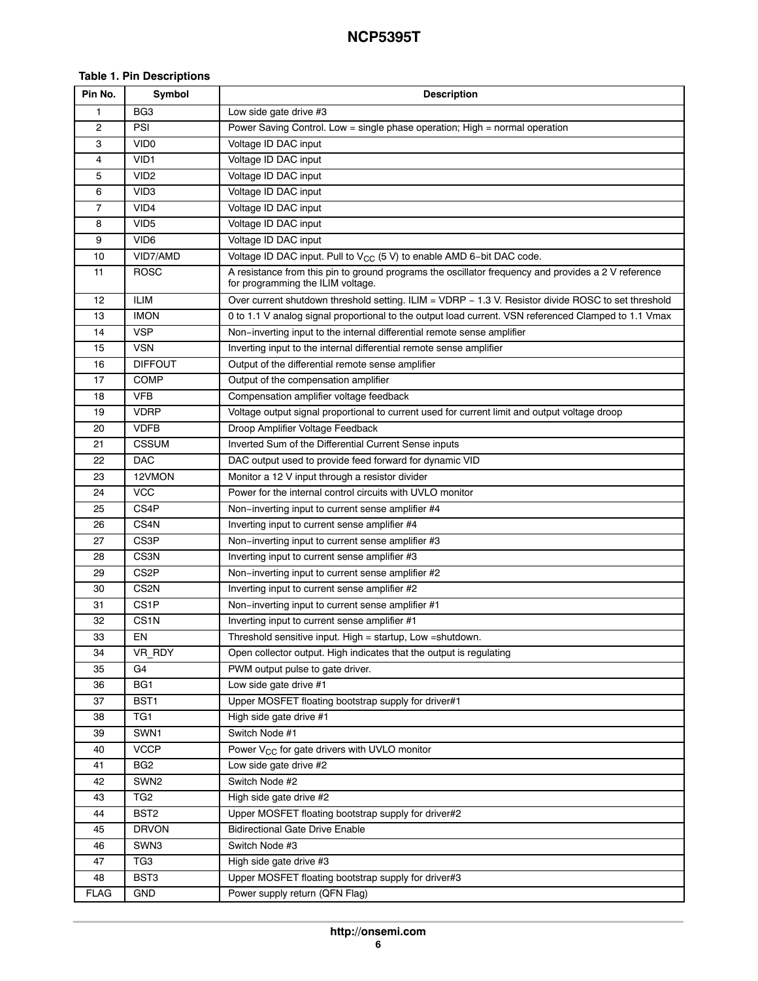#### **Table 1. Pin Descriptions**

| Pin No.        | Symbol            | <b>Description</b>                                                                                                                       |
|----------------|-------------------|------------------------------------------------------------------------------------------------------------------------------------------|
| 1              | BG <sub>3</sub>   | Low side gate drive #3                                                                                                                   |
| $\overline{c}$ | PSI               | Power Saving Control. Low = single phase operation; High = normal operation                                                              |
| 3              | VID <sub>0</sub>  | Voltage ID DAC input                                                                                                                     |
| 4              | VID <sub>1</sub>  | Voltage ID DAC input                                                                                                                     |
| 5              | VID <sub>2</sub>  | Voltage ID DAC input                                                                                                                     |
| 6              | VID <sub>3</sub>  | Voltage ID DAC input                                                                                                                     |
| 7              | VID4              | Voltage ID DAC input                                                                                                                     |
| 8              | VID <sub>5</sub>  | Voltage ID DAC input                                                                                                                     |
| 9              | VID <sub>6</sub>  | Voltage ID DAC input                                                                                                                     |
| 10             | VID7/AMD          | Voltage ID DAC input. Pull to $V_{CC}$ (5 V) to enable AMD 6-bit DAC code.                                                               |
| 11             | ROSC              | A resistance from this pin to ground programs the oscillator frequency and provides a 2 V reference<br>for programming the ILIM voltage. |
| 12             | <b>ILIM</b>       | Over current shutdown threshold setting. ILIM = VDRP - 1.3 V. Resistor divide ROSC to set threshold                                      |
| 13             | imon              | 0 to 1.1 V analog signal proportional to the output load current. VSN referenced Clamped to 1.1 Vmax                                     |
| 14             | VSP               | Non-inverting input to the internal differential remote sense amplifier                                                                  |
| 15             | <b>VSN</b>        | Inverting input to the internal differential remote sense amplifier                                                                      |
| 16             | <b>DIFFOUT</b>    | Output of the differential remote sense amplifier                                                                                        |
| 17             | COMP              | Output of the compensation amplifier                                                                                                     |
| 18             | <b>VFB</b>        | Compensation amplifier voltage feedback                                                                                                  |
| 19             | <b>VDRP</b>       | Voltage output signal proportional to current used for current limit and output voltage droop                                            |
| 20             | <b>VDFB</b>       | Droop Amplifier Voltage Feedback                                                                                                         |
| 21             | <b>CSSUM</b>      | Inverted Sum of the Differential Current Sense inputs                                                                                    |
| 22             | <b>DAC</b>        | DAC output used to provide feed forward for dynamic VID                                                                                  |
| 23             | 12VMON            | Monitor a 12 V input through a resistor divider                                                                                          |
| 24             | <b>VCC</b>        | Power for the internal control circuits with UVLO monitor                                                                                |
| 25             | CS4P              | Non-inverting input to current sense amplifier #4                                                                                        |
| 26             | CS4N              | Inverting input to current sense amplifier #4                                                                                            |
| 27             | CS3P              | Non-inverting input to current sense amplifier #3                                                                                        |
| 28             | CS3N              | Inverting input to current sense amplifier #3                                                                                            |
| 29             | CS <sub>2</sub> P | Non-inverting input to current sense amplifier #2                                                                                        |
| 30             | CS <sub>2N</sub>  | Inverting input to current sense amplifier #2                                                                                            |
| 31             | CS1P              | Non-inverting input to current sense amplifier #1                                                                                        |
| 32             | CS1N              | Inverting input to current sense amplifier #1                                                                                            |
| 33             | EN                | Threshold sensitive input. High = startup, Low = shutdown.                                                                               |
| 34             | VR_RDY            | Open collector output. High indicates that the output is regulating                                                                      |
| 35             | G4                | PWM output pulse to gate driver.                                                                                                         |
| 36             | BG <sub>1</sub>   | Low side gate drive #1                                                                                                                   |
| 37             | BST <sub>1</sub>  | Upper MOSFET floating bootstrap supply for driver#1                                                                                      |
| 38             | TG1               | High side gate drive #1                                                                                                                  |
| 39             | SWN1              | Switch Node #1                                                                                                                           |
| 40             | <b>VCCP</b>       | Power V <sub>CC</sub> for gate drivers with UVLO monitor                                                                                 |
| 41             | BG <sub>2</sub>   | Low side gate drive #2                                                                                                                   |
| 42             | SWN <sub>2</sub>  | Switch Node #2                                                                                                                           |
| 43             | TG <sub>2</sub>   | High side gate drive #2                                                                                                                  |
| 44             | BST <sub>2</sub>  | Upper MOSFET floating bootstrap supply for driver#2                                                                                      |
| 45             | <b>DRVON</b>      | <b>Bidirectional Gate Drive Enable</b>                                                                                                   |
| 46             | SWN3              | Switch Node #3                                                                                                                           |
| 47             | TG3               | High side gate drive #3                                                                                                                  |
| 48             | BST3              | Upper MOSFET floating bootstrap supply for driver#3                                                                                      |
| <b>FLAG</b>    | <b>GND</b>        | Power supply return (QFN Flag)                                                                                                           |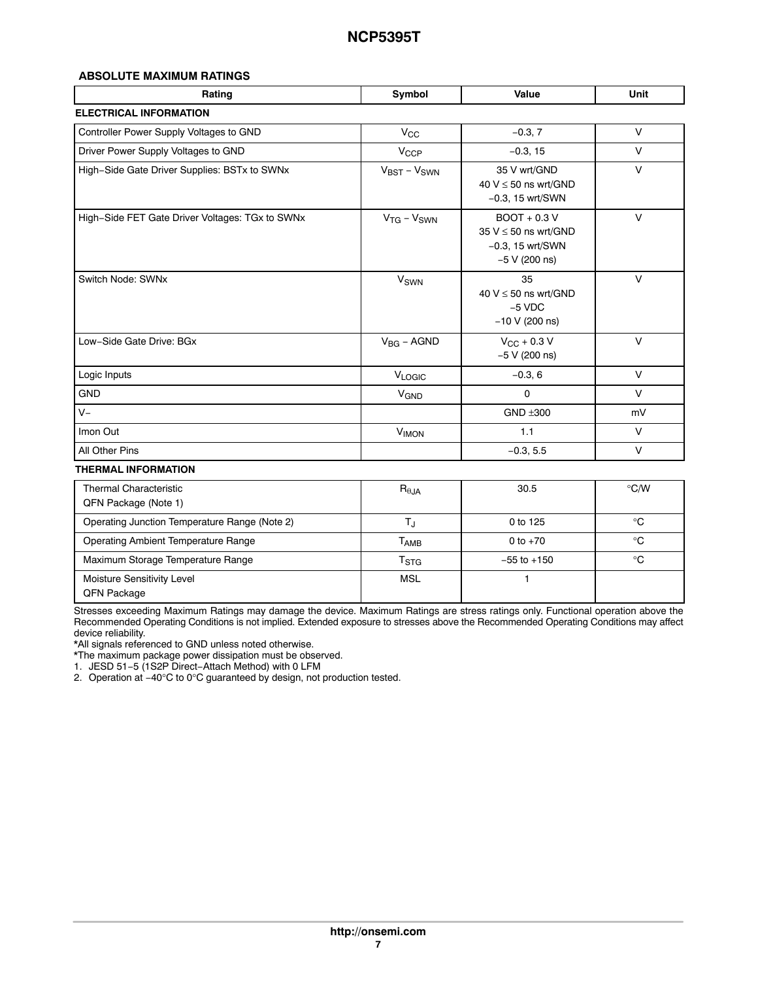#### **ABSOLUTE MAXIMUM RATINGS**

| Rating                                          | Symbol                  | Value                                                                                | Unit   |
|-------------------------------------------------|-------------------------|--------------------------------------------------------------------------------------|--------|
| <b>ELECTRICAL INFORMATION</b>                   |                         |                                                                                      |        |
| Controller Power Supply Voltages to GND         | $V_{\rm CC}$            | $-0.3, 7$                                                                            | V      |
| Driver Power Supply Voltages to GND             | $V_{CCP}$               | $-0.3, 15$                                                                           | $\vee$ |
| High-Side Gate Driver Supplies: BSTx to SWNx    | $V_{BST} - V_{SWN}$     | 35 V wrt/GND<br>40 $V \le 50$ ns wrt/GND<br>$-0.3$ , 15 wrt/SWN                      | $\vee$ |
| High-Side FET Gate Driver Voltages: TGx to SWNx | $V_{TG} - V_{SWN}$      | $BOOT + 0.3 V$<br>35 $V \le 50$ ns wrt/GND<br>$-0.3$ , 15 wrt/SWN<br>$-5$ V (200 ns) | $\vee$ |
| Switch Node: SWNx                               | <b>V<sub>SWN</sub></b>  | 35<br>40 $V \le 50$ ns wrt/GND<br>$-5$ VDC<br>$-10 V (200 ns)$                       | $\vee$ |
| Low-Side Gate Drive: BGx                        | $V_{BG}$ – AGND         | $V_{\text{CC}} + 0.3 V$<br>$-5$ V (200 ns)                                           | $\vee$ |
| Logic Inputs                                    | V <sub>LOGIC</sub>      | $-0.3, 6$                                                                            | $\vee$ |
| <b>GND</b>                                      | <b>V<sub>GND</sub></b>  | $\mathbf 0$                                                                          | V      |
| $V -$                                           |                         | $GND \pm 300$                                                                        | mV     |
| Imon Out                                        | <b>V<sub>IMON</sub></b> | 1.1                                                                                  | $\vee$ |
| All Other Pins                                  |                         | $-0.3, 5.5$                                                                          | $\vee$ |

#### **THERMAL INFORMATION**

| <b>Thermal Characteristic</b><br>QFN Package (Note 1) | $R_{\theta JA}$           | 30.5            | $\degree$ C/W |
|-------------------------------------------------------|---------------------------|-----------------|---------------|
| Operating Junction Temperature Range (Note 2)         |                           | 0 to 125        | ℃             |
| Operating Ambient Temperature Range                   | Т <sub>АМВ</sub>          | 0 to $+70$      | °C            |
| Maximum Storage Temperature Range                     | $\mathsf{T}_{\text{STG}}$ | $-55$ to $+150$ | ℃             |
| Moisture Sensitivity Level<br><b>QFN Package</b>      | <b>MSL</b>                |                 |               |

Stresses exceeding Maximum Ratings may damage the device. Maximum Ratings are stress ratings only. Functional operation above the Recommended Operating Conditions is not implied. Extended exposure to stresses above the Recommended Operating Conditions may affect device reliability.

\*All signals referenced to GND unless noted otherwise.

\*The maximum package power dissipation must be observed.

1. JESD 51−5 (1S2P Direct−Attach Method) with 0 LFM

2. Operation at −40°C to 0°C guaranteed by design, not production tested.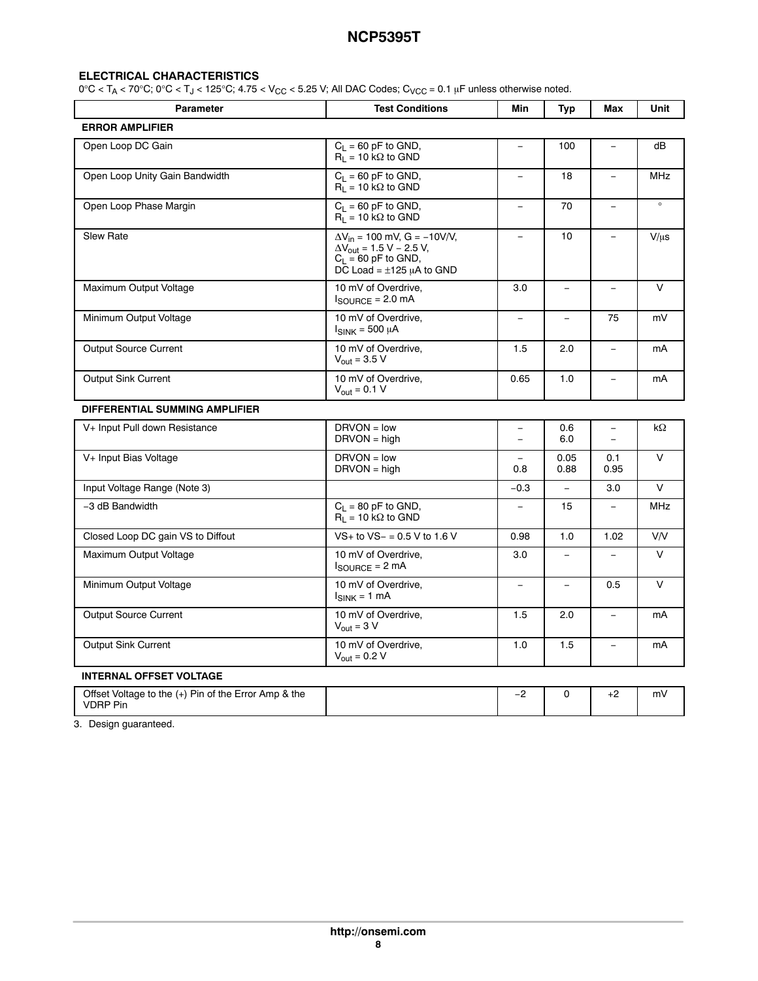#### <span id="page-7-0"></span>**ELECTRICAL CHARACTERISTICS**

 $0^{\circ}$ C < T<sub>A</sub> < 70°C;  $0^{\circ}$ C < T<sub>J</sub> < 125°C; 4.75 < V<sub>CC</sub> < 5.25 V; All DAC Codes; C<sub>VCC</sub> = 0.1 µF unless otherwise noted.

| <b>Parameter</b>                                                        | <b>Test Conditions</b>                                                                                                                                       | Min                                                  | Typ                      | Max                                  | Unit       |
|-------------------------------------------------------------------------|--------------------------------------------------------------------------------------------------------------------------------------------------------------|------------------------------------------------------|--------------------------|--------------------------------------|------------|
| <b>ERROR AMPLIFIER</b>                                                  |                                                                                                                                                              |                                                      |                          |                                      |            |
| Open Loop DC Gain                                                       | $C_1 = 60$ pF to GND,<br>$R_1 = 10 k\Omega$ to GND                                                                                                           | $\qquad \qquad$                                      | 100                      | $\qquad \qquad -$                    | dB         |
| Open Loop Unity Gain Bandwidth                                          | $C_L = 60$ pF to GND,<br>$R_1 = 10 k\Omega$ to GND                                                                                                           | $\overline{a}$                                       | 18                       | $\equiv$                             | <b>MHz</b> |
| Open Loop Phase Margin                                                  | $C_L = 60$ pF to GND,<br>$R_1 = 10 \text{ k}\Omega$ to GND                                                                                                   | $\equiv$                                             | 70                       | $\equiv$                             | $\circ$    |
| <b>Slew Rate</b>                                                        | $\Delta V_{in}$ = 100 mV, G = -10V/V,<br>$\Delta V_{\text{out}} = 1.5 \text{ V} - 2.5 \text{ V}$ ,<br>$C_1 = 60$ pF to GND,<br>DC Load = $\pm$ 125 µA to GND | $\frac{1}{2}$                                        | 10                       | $\equiv$                             | $V/\mu s$  |
| Maximum Output Voltage                                                  | 10 mV of Overdrive,<br>$I_{\text{SOLIRCF}} = 2.0 \text{ mA}$                                                                                                 | 3.0                                                  | $\overline{\phantom{0}}$ |                                      | $\vee$     |
| Minimum Output Voltage                                                  | 10 mV of Overdrive.<br>$I_{SINK}$ = 500 µA                                                                                                                   | $\overline{\phantom{m}}$                             | $\overline{\phantom{m}}$ | 75                                   | mV         |
| Output Source Current                                                   | 10 mV of Overdrive,<br>$V_{\text{out}} = 3.5 V$                                                                                                              | 1.5                                                  | 2.0                      | $\overline{\phantom{a}}$             | mA         |
| <b>Output Sink Current</b>                                              | 10 mV of Overdrive,<br>$V_{\text{out}} = 0.1 V$                                                                                                              | 0.65                                                 | 1.0                      |                                      | mA         |
| DIFFERENTIAL SUMMING AMPLIFIER                                          |                                                                                                                                                              |                                                      |                          |                                      |            |
| V+ Input Pull down Resistance                                           | $DRVON = low$<br>$DRVON = high$                                                                                                                              | $\overline{\phantom{0}}$<br>$\overline{\phantom{0}}$ | 0.6<br>6.0               | $\overline{\phantom{m}}$<br>$\equiv$ | $k\Omega$  |
| V+ Input Bias Voltage                                                   | $DRVON = low$<br>$DRVON = high$                                                                                                                              | $\equiv$<br>0.8                                      | 0.05<br>0.88             | 0.1<br>0.95                          | $\vee$     |
| Input Voltage Range (Note 3)                                            |                                                                                                                                                              | $-0.3$                                               | $\overline{\phantom{m}}$ | 3.0                                  | V          |
| -3 dB Bandwidth                                                         | $C_L = 80$ pF to GND,<br>$R_1 = 10 k\Omega$ to GND                                                                                                           | $\overline{\phantom{0}}$                             | 15                       | $\overline{\phantom{a}}$             | <b>MHz</b> |
| Closed Loop DC gain VS to Diffout                                       | $VS$ + to $VS$ – = 0.5 V to 1.6 V                                                                                                                            | 0.98                                                 | 1.0                      | 1.02                                 | V/V        |
| Maximum Output Voltage                                                  | 10 mV of Overdrive,<br>$I_{\text{SOURCE}} = 2 \text{ mA}$                                                                                                    | 3.0                                                  | $\frac{1}{2}$            | $\equiv$                             | $\vee$     |
| Minimum Output Voltage                                                  | 10 mV of Overdrive,<br>$I_{SINK}$ = 1 mA                                                                                                                     | $\qquad \qquad -$                                    | $\equiv$                 | 0.5                                  | $\vee$     |
| <b>Output Source Current</b>                                            | 10 mV of Overdrive,<br>$V_{\text{out}} = 3 V$                                                                                                                | 1.5                                                  | 2.0                      | $\equiv$                             | mA         |
| <b>Output Sink Current</b>                                              | 10 mV of Overdrive,<br>$V_{\text{out}} = 0.2 V$                                                                                                              | 1.0                                                  | 1.5                      | $\equiv$                             | mA         |
| <b>INTERNAL OFFSET VOLTAGE</b>                                          |                                                                                                                                                              |                                                      |                          |                                      |            |
| Offset Voltage to the (+) Pin of the Error Amp & the<br><b>VDRP Pin</b> |                                                                                                                                                              | $-2$                                                 | 0                        | $+2$                                 | mV         |

3. Design guaranteed.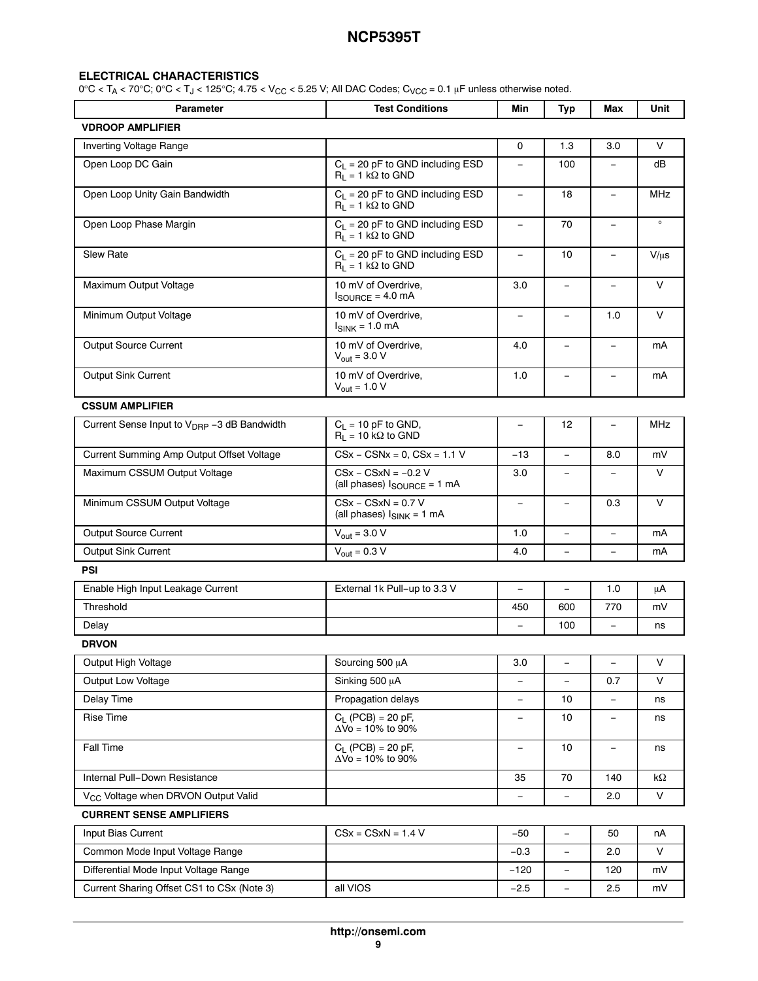#### **ELECTRICAL CHARACTERISTICS**

 $0^{\circ}C < T_A < 70^{\circ}C$ ;  $0^{\circ}C < T_J < 125^{\circ}C$ ;  $4.75 < V_{CC} < 5.25$  V; All DAC Codes;  $C_{VCC} = 0.1$  µF unless otherwise noted.

| <b>Parameter</b>                                        | <b>Test Conditions</b>                                                   | Min                      | <b>Typ</b>               | Max                      | Unit      |  |
|---------------------------------------------------------|--------------------------------------------------------------------------|--------------------------|--------------------------|--------------------------|-----------|--|
| <b>VDROOP AMPLIFIER</b>                                 |                                                                          |                          |                          |                          |           |  |
| Inverting Voltage Range                                 |                                                                          | 0                        | 1.3                      | 3.0                      | $\vee$    |  |
| Open Loop DC Gain                                       | $C_L$ = 20 pF to GND including ESD<br>$R_1 = 1 k\Omega$ to GND           | $\overline{\phantom{a}}$ | 100                      |                          | dB        |  |
| Open Loop Unity Gain Bandwidth                          | $C_L = 20$ pF to GND including ESD<br>$R_1 = 1 k\Omega$ to GND           | $\overline{\phantom{m}}$ | 18                       | $\overline{\phantom{a}}$ | MHz       |  |
| Open Loop Phase Margin                                  | $C_L$ = 20 pF to GND including ESD<br>$R_L = 1 k\Omega$ to GND           | $\overline{\phantom{a}}$ | 70                       | $\overline{\phantom{a}}$ | $\circ$   |  |
| <b>Slew Rate</b>                                        | $C_L$ = 20 pF to GND including ESD<br>$R_L = 1 k\Omega$ to GND           | $\overline{\phantom{a}}$ | 10                       | $\overline{\phantom{m}}$ | $V/\mu s$ |  |
| Maximum Output Voltage                                  | 10 mV of Overdrive,<br>$I_{\text{SOURCE}} = 4.0 \text{ mA}$              | 3.0                      | $\equiv$                 | $\equiv$                 | $\vee$    |  |
| Minimum Output Voltage                                  | 10 mV of Overdrive,<br>$I_{SINK}$ = 1.0 mA                               | $\overline{\phantom{m}}$ | $\overline{\phantom{0}}$ | 1.0                      | $\vee$    |  |
| Output Source Current                                   | 10 mV of Overdrive,<br>$V_{\text{out}} = 3.0 V$                          | 4.0                      | $\overline{\phantom{0}}$ | $\overline{\phantom{m}}$ | mA        |  |
| Output Sink Current                                     | 10 mV of Overdrive,<br>$V_{\text{out}} = 1.0 V$                          | 1.0                      | $\equiv$                 | $\equiv$                 | mA        |  |
| <b>CSSUM AMPLIFIER</b>                                  |                                                                          |                          |                          |                          |           |  |
| Current Sense Input to V <sub>DRP</sub> -3 dB Bandwidth | $C_1 = 10$ pF to GND,<br>$R_1 = 10 k\Omega$ to GND                       | $\qquad \qquad -$        | 12                       | $\overline{\phantom{a}}$ | MHz       |  |
| Current Summing Amp Output Offset Voltage               | $CSx - CSNx = 0, CSx = 1.1 V$                                            | $-13$                    | $\equiv$                 | 8.0                      | mV        |  |
| Maximum CSSUM Output Voltage                            | $CSx - CSxN = -0.2 V$<br>(all phases) $I_{\text{SOURCE}} = 1 \text{ mA}$ | 3.0                      |                          |                          | $\vee$    |  |
| Minimum CSSUM Output Voltage                            | $CSx - CSxN = 0.7 V$<br>(all phases) $I_{SINK} = 1$ mA                   | $\equiv$                 | $\overline{\phantom{0}}$ | 0.3                      | $\vee$    |  |
| Output Source Current                                   | $V_{\text{out}} = 3.0 V$                                                 | 1.0                      | $\equiv$                 |                          | mA        |  |
| Output Sink Current                                     | $V_{\text{out}} = 0.3 V$                                                 | 4.0                      | $\equiv$                 | $\overline{\phantom{a}}$ | mA        |  |
| <b>PSI</b>                                              |                                                                          |                          |                          |                          |           |  |
| Enable High Input Leakage Current                       | External 1k Pull-up to 3.3 V                                             | $\overline{\phantom{0}}$ | $\equiv$                 | 1.0                      | μA        |  |
| Threshold                                               |                                                                          | 450                      | 600                      | 770                      | mV        |  |
| Delay                                                   |                                                                          | $\overline{\phantom{0}}$ | 100                      | $\overline{\phantom{m}}$ | ns        |  |
| <b>DRVON</b>                                            |                                                                          |                          |                          |                          |           |  |
| Output High Voltage                                     | Sourcing 500 µA                                                          | 3.0                      | $\qquad \qquad -$        | $\overline{\phantom{a}}$ | V         |  |
| Output Low Voltage                                      | Sinking 500 µA                                                           |                          |                          | 0.7                      | V         |  |
| Delay Time                                              | Propagation delays                                                       | $\overline{\phantom{a}}$ | 10                       | $\overline{\phantom{a}}$ | ns        |  |
| <b>Rise Time</b>                                        | $C_1$ (PCB) = 20 pF,<br>$\Delta \bar{V}$ o = 10% to 90%                  | $\overline{\phantom{a}}$ | 10                       | $\overline{\phantom{0}}$ | ns        |  |
| Fall Time                                               | $C_L$ (PCB) = 20 pF,<br>$\Delta$ Vo = 10% to 90%                         |                          | 10                       |                          | ns        |  |
| Internal Pull-Down Resistance                           |                                                                          | 35                       | 70                       | 140                      | $k\Omega$ |  |
| V <sub>CC</sub> Voltage when DRVON Output Valid         |                                                                          | $\qquad \qquad -$        | $\overline{\phantom{0}}$ | 2.0                      | $\vee$    |  |
| <b>CURRENT SENSE AMPLIFIERS</b>                         |                                                                          |                          |                          |                          |           |  |
| Input Bias Current                                      | $CSx = CSxN = 1.4 V$                                                     | $-50$                    | $\overline{\phantom{0}}$ | 50                       | nA        |  |
| Common Mode Input Voltage Range                         |                                                                          | $-0.3$                   | $\equiv$                 | 2.0                      | V         |  |
| Differential Mode Input Voltage Range                   |                                                                          | $-120$                   | $\overline{\phantom{0}}$ | 120                      | mV        |  |
| Current Sharing Offset CS1 to CSx (Note 3)              | all VIOS                                                                 | $-2.5$                   | $\overline{\phantom{0}}$ | 2.5                      | mV        |  |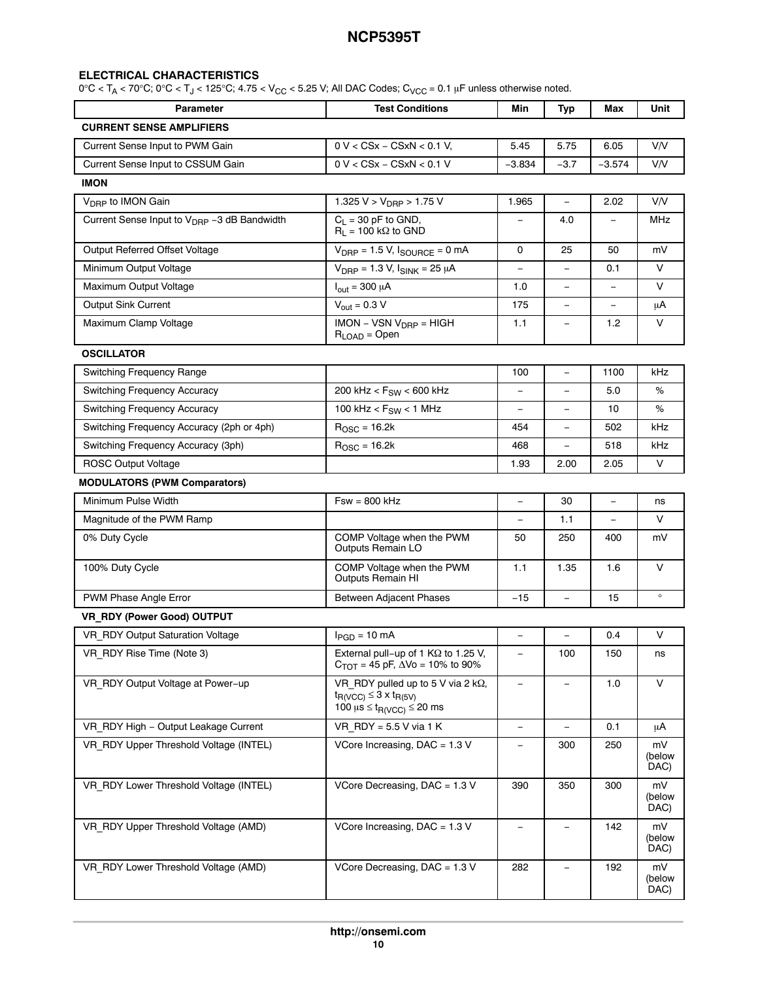#### **ELECTRICAL CHARACTERISTICS**

| <b>Parameter</b>                                        | <b>Test Conditions</b>                                                                                                                    | Min                      | Typ                      | Max      | Unit                 |
|---------------------------------------------------------|-------------------------------------------------------------------------------------------------------------------------------------------|--------------------------|--------------------------|----------|----------------------|
| <b>CURRENT SENSE AMPLIFIERS</b>                         |                                                                                                                                           |                          |                          |          |                      |
| Current Sense Input to PWM Gain                         | $0 V < C S x - C S x N < 0.1 V$                                                                                                           | 5.45                     | 5.75                     | 6.05     | V/V                  |
| Current Sense Input to CSSUM Gain                       | $0 V < C S x - C S x N < 0.1 V$                                                                                                           | $-3.834$                 | $-3.7$                   | $-3.574$ | V/V                  |
| <b>IMON</b>                                             |                                                                                                                                           |                          |                          |          |                      |
| V <sub>DRP</sub> to IMON Gain                           | 1.325 V > $V_{\text{DRP}}$ > 1.75 V                                                                                                       | 1.965                    | $\equiv$                 | 2.02     | V/V                  |
| Current Sense Input to V <sub>DRP</sub> -3 dB Bandwidth | $C_L = 30$ pF to GND,<br>$R_L = 100 \text{ k}\Omega$ to GND                                                                               | $\overline{\phantom{0}}$ | 4.0                      |          | MHz                  |
| Output Referred Offset Voltage                          | $V_{\text{DRP}} = 1.5 V$ , $I_{\text{SOURCE}} = 0 \text{ mA}$                                                                             | 0                        | 25                       | 50       | mV                   |
| Minimum Output Voltage                                  | $V_{\text{DRP}} = 1.3 V, I_{\text{SINK}} = 25 \mu A$                                                                                      |                          |                          | 0.1      | $\vee$               |
| Maximum Output Voltage                                  | $I_{\text{out}} = 300 \mu A$                                                                                                              | 1.0                      |                          |          | V                    |
| <b>Output Sink Current</b>                              | $V_{\text{out}} = 0.3 V$                                                                                                                  | 175                      | ÷,                       | ÷,       | μA                   |
| Maximum Clamp Voltage                                   | $IMON - VSN VDRP = HIGH$<br>$R_{\text{LOAD}} = \text{Open}$                                                                               | 1.1                      | $\overline{\phantom{0}}$ | 1.2      | V                    |
| <b>OSCILLATOR</b>                                       |                                                                                                                                           |                          |                          |          |                      |
| Switching Frequency Range                               |                                                                                                                                           | 100                      | $\equiv$                 | 1100     | kHz                  |
| Switching Frequency Accuracy                            | 200 kHz < $F_{SW}$ < 600 kHz                                                                                                              | $\overline{\phantom{0}}$ |                          | 5.0      | %                    |
| <b>Switching Frequency Accuracy</b>                     | 100 kHz < $F_{SW}$ < 1 MHz                                                                                                                | $\overline{\phantom{0}}$ |                          | 10       | $\%$                 |
| Switching Frequency Accuracy (2ph or 4ph)               | $ROSC = 16.2k$                                                                                                                            | 454                      |                          | 502      | kHz                  |
| Switching Frequency Accuracy (3ph)                      | $R_{\text{OSC}}$ = 16.2k                                                                                                                  | 468                      | $\equiv$                 | 518      | kHz                  |
| <b>ROSC Output Voltage</b>                              |                                                                                                                                           | 1.93                     | 2.00                     | 2.05     | $\vee$               |
| <b>MODULATORS (PWM Comparators)</b>                     |                                                                                                                                           |                          |                          |          |                      |
| Minimum Pulse Width                                     | $Fsw = 800$ kHz                                                                                                                           | $\overline{\phantom{a}}$ | 30                       | $\equiv$ | ns                   |
| Magnitude of the PWM Ramp                               |                                                                                                                                           | $\overline{\phantom{a}}$ | 1.1                      | $\equiv$ | $\vee$               |
| 0% Duty Cycle                                           | COMP Voltage when the PWM<br>Outputs Remain LO                                                                                            | 50                       | 250                      | 400      | mV                   |
| 100% Duty Cycle                                         | COMP Voltage when the PWM<br><b>Outputs Remain HI</b>                                                                                     | 1.1                      | 1.35                     | 1.6      | $\vee$               |
| PWM Phase Angle Error                                   | <b>Between Adjacent Phases</b>                                                                                                            | $-15$                    | $\equiv$                 | 15       | $\circ$              |
| VR_RDY (Power Good) OUTPUT                              |                                                                                                                                           |                          |                          |          |                      |
| VR RDY Output Saturation Voltage                        | $I_{PGD} = 10$ mA                                                                                                                         | $\qquad \qquad -$        |                          | 0.4      | V                    |
| VR_RDY Rise Time (Note 3)                               | External pull-up of 1 KΩ to 1.25 V,<br>$C_{TOT}$ = 45 pF, $\Delta$ Vo = 10% to 90%                                                        |                          | 100                      | 150      | ns                   |
| VR RDY Output Voltage at Power-up                       | VR RDY pulled up to 5 V via 2 k $\Omega$ ,<br>$t_{R(VCC)} \leq 3 \times t_{R(5V)}$<br>100 $\mu$ s $\leq$ t <sub>R(VCC)</sub> $\leq$ 20 ms |                          |                          | 1.0      | V                    |
| VR RDY High - Output Leakage Current                    | VR RDY = $5.5$ V via 1 K                                                                                                                  | $\overline{\phantom{a}}$ | $\overline{\phantom{0}}$ | 0.1      | μA                   |
| VR RDY Upper Threshold Voltage (INTEL)                  | VCore Increasing, DAC = 1.3 V                                                                                                             |                          | 300                      | 250      | mV<br>(below<br>DAC) |
| VR_RDY Lower Threshold Voltage (INTEL)                  | VCore Decreasing, DAC = 1.3 V                                                                                                             | 390                      | 350                      | 300      | mV<br>(below<br>DAC) |
| VR_RDY Upper Threshold Voltage (AMD)                    | VCore Increasing, DAC = 1.3 V                                                                                                             |                          |                          | 142      | mV<br>(below<br>DAC) |
| VR_RDY Lower Threshold Voltage (AMD)                    | VCore Decreasing, DAC = 1.3 V                                                                                                             | 282                      |                          | 192      | mV<br>(below<br>DAC) |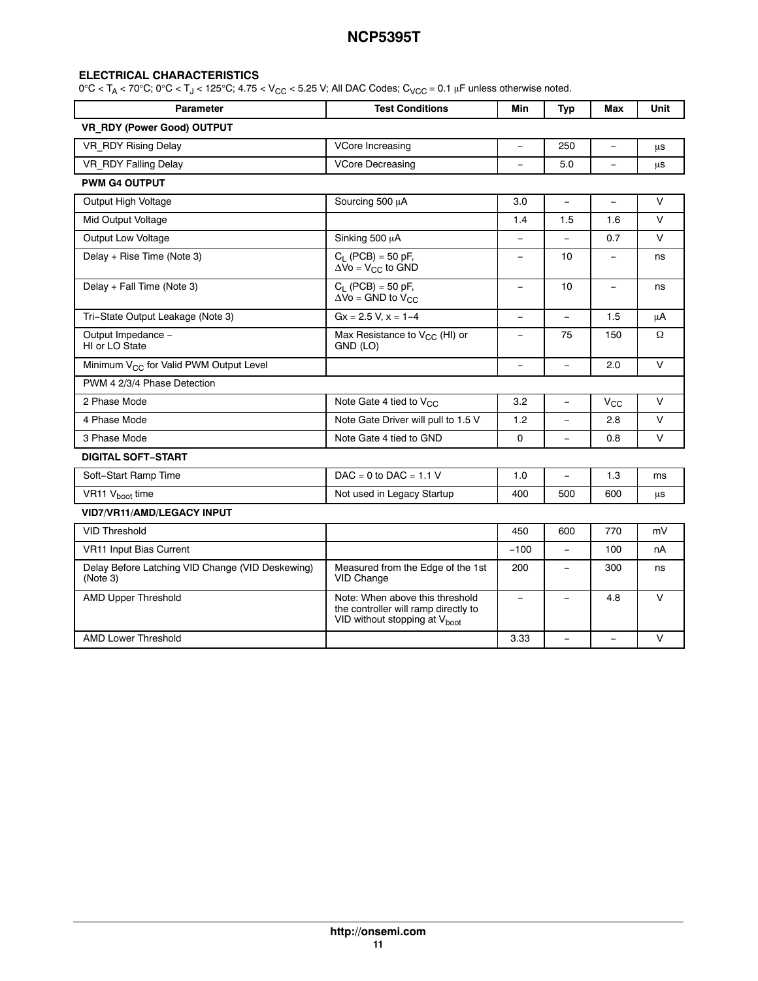#### **ELECTRICAL CHARACTERISTICS**

| <b>Parameter</b>                                             | <b>Test Conditions</b>                                                                                               | Min               | <b>Typ</b>               | Max                      | Unit    |
|--------------------------------------------------------------|----------------------------------------------------------------------------------------------------------------------|-------------------|--------------------------|--------------------------|---------|
| VR RDY (Power Good) OUTPUT                                   |                                                                                                                      |                   |                          |                          |         |
| VR RDY Rising Delay                                          | VCore Increasing                                                                                                     | $\equiv$          | 250                      | $\overline{\phantom{a}}$ | $\mu$ s |
| VR RDY Falling Delay                                         | <b>VCore Decreasing</b>                                                                                              |                   | 5.0                      |                          | μs      |
| <b>PWM G4 OUTPUT</b>                                         |                                                                                                                      |                   |                          |                          |         |
| Output High Voltage                                          | Sourcing 500 µA                                                                                                      | 3.0               | $\equiv$                 | $\overline{\phantom{0}}$ | V       |
| Mid Output Voltage                                           |                                                                                                                      | 1.4               | 1.5                      | 1.6                      | $\vee$  |
| Output Low Voltage                                           | Sinking 500 µA                                                                                                       |                   |                          | 0.7                      | $\vee$  |
| Delay + Rise Time (Note 3)                                   | $C_1$ (PCB) = 50 pF,<br>$\Delta$ Vo = V <sub>CC</sub> to GND                                                         | $\qquad \qquad -$ | 10                       | $\overline{\phantom{m}}$ | ns      |
| Delay + Fall Time (Note 3)                                   | $C_1$ (PCB) = 50 pF,<br>$\Delta \overline{V}$ o = GND to $V_{CC}$                                                    | $\equiv$          | 10                       | $\qquad \qquad -$        | ns      |
| Tri-State Output Leakage (Note 3)                            | $Gx = 2.5 V, x = 1-4$                                                                                                | $\equiv$          | $\overline{\phantom{0}}$ | 1.5                      | μA      |
| Output Impedance -<br>HI or LO State                         | Max Resistance to V <sub>CC</sub> (HI) or<br>GND (LO)                                                                | $\equiv$          | 75                       | 150                      | Ω       |
| Minimum V <sub>CC</sub> for Valid PWM Output Level           |                                                                                                                      | $\equiv$          | $\overline{\phantom{0}}$ | 2.0                      | $\vee$  |
| PWM 4 2/3/4 Phase Detection                                  |                                                                                                                      |                   |                          |                          |         |
| 2 Phase Mode                                                 | Note Gate 4 tied to V <sub>CC</sub>                                                                                  | 3.2               | $\equiv$                 | $V_{\rm CC}$             | $\vee$  |
| 4 Phase Mode                                                 | Note Gate Driver will pull to 1.5 V                                                                                  | 1.2               | $\equiv$                 | 2.8                      | $\vee$  |
| 3 Phase Mode                                                 | Note Gate 4 tied to GND                                                                                              | 0                 |                          | 0.8                      | V       |
| <b>DIGITAL SOFT-START</b>                                    |                                                                                                                      |                   |                          |                          |         |
| Soft-Start Ramp Time                                         | $DAC = 0$ to $DAC = 1.1$ V                                                                                           | 1.0               | $\equiv$                 | 1.3                      | ms      |
| VR11 V <sub>hoot</sub> time                                  | Not used in Legacy Startup                                                                                           | 400               | 500                      | 600                      | μs      |
| VID7/VR11/AMD/LEGACY INPUT                                   |                                                                                                                      |                   |                          |                          |         |
| <b>VID Threshold</b>                                         |                                                                                                                      | 450               | 600                      | 770                      | mV      |
| VR11 Input Bias Current                                      |                                                                                                                      | $-100$            |                          | 100                      | nA      |
| Delay Before Latching VID Change (VID Deskewing)<br>(Note 3) | Measured from the Edge of the 1st<br>VID Change                                                                      | 200               | L,                       | 300                      | ns      |
| <b>AMD Upper Threshold</b>                                   | Note: When above this threshold<br>the controller will ramp directly to<br>VID without stopping at V <sub>boot</sub> | $\equiv$          | $\equiv$                 | 4.8                      | $\vee$  |
| <b>AMD Lower Threshold</b>                                   |                                                                                                                      | 3.33              |                          |                          | $\vee$  |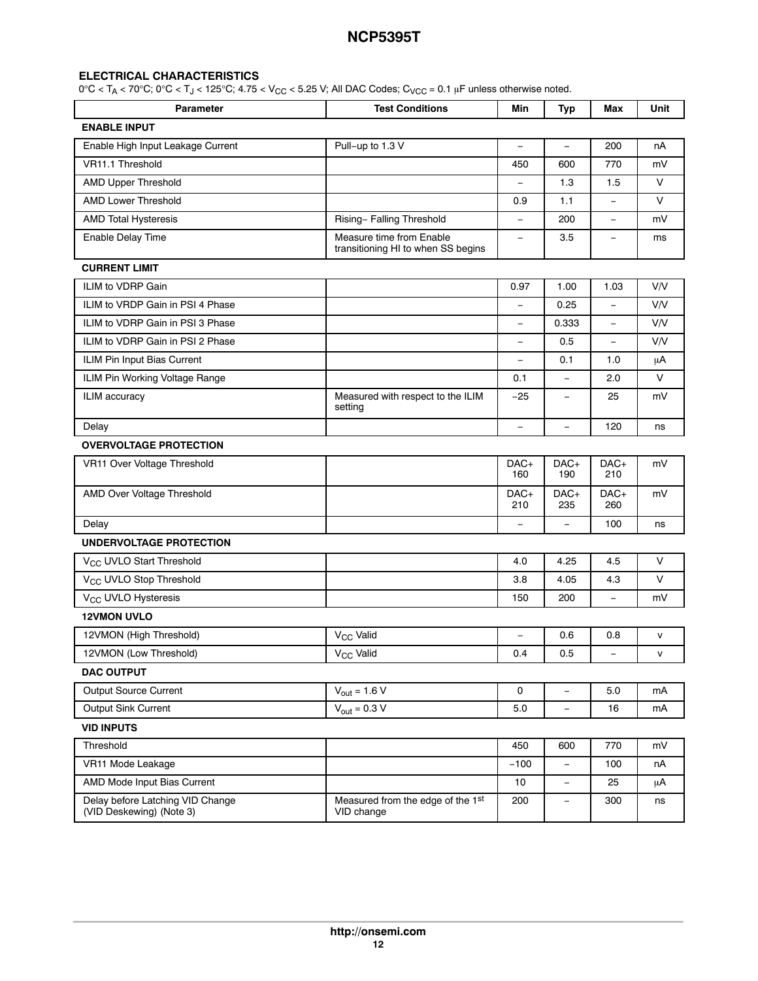#### **ELECTRICAL CHARACTERISTICS**

| <b>Parameter</b>                                             | <b>Test Conditions</b>                                         | Min                      | <b>Typ</b>               | Max                      | Unit   |  |  |  |  |
|--------------------------------------------------------------|----------------------------------------------------------------|--------------------------|--------------------------|--------------------------|--------|--|--|--|--|
| <b>ENABLE INPUT</b>                                          |                                                                |                          |                          |                          |        |  |  |  |  |
| Enable High Input Leakage Current                            | Pull-up to 1.3 V                                               | $\overline{\phantom{m}}$ | $\equiv$                 | 200                      | nA     |  |  |  |  |
| VR11.1 Threshold                                             |                                                                | 450                      | 600                      | 770                      | mV     |  |  |  |  |
| <b>AMD Upper Threshold</b>                                   |                                                                |                          | 1.3                      | 1.5                      | V      |  |  |  |  |
| AMD Lower Threshold                                          |                                                                | 0.9                      | 1.1                      | ÷,                       | V      |  |  |  |  |
| <b>AMD Total Hysteresis</b>                                  | Rising- Falling Threshold                                      | $\equiv$                 | 200                      | $\qquad \qquad -$        | mV     |  |  |  |  |
| <b>Enable Delay Time</b>                                     | Measure time from Enable<br>transitioning HI to when SS begins | $\overline{\phantom{m}}$ | 3.5                      | $\overline{\phantom{0}}$ | ms     |  |  |  |  |
| <b>CURRENT LIMIT</b>                                         |                                                                |                          |                          |                          |        |  |  |  |  |
| ILIM to VDRP Gain                                            |                                                                | 0.97                     | 1.00                     | 1.03                     | V/V    |  |  |  |  |
| ILIM to VRDP Gain in PSI 4 Phase                             |                                                                | $\equiv$                 | 0.25                     | ÷,                       | V/V    |  |  |  |  |
| ILIM to VDRP Gain in PSI 3 Phase                             |                                                                | $\overline{\phantom{0}}$ | 0.333                    | $\qquad \qquad -$        | V/V    |  |  |  |  |
| ILIM to VDRP Gain in PSI 2 Phase                             |                                                                | $\qquad \qquad -$        | 0.5                      | $\equiv$                 | V/V    |  |  |  |  |
| ILIM Pin Input Bias Current                                  |                                                                | $\overline{\phantom{0}}$ | 0.1                      | 1.0                      | μA     |  |  |  |  |
| ILIM Pin Working Voltage Range                               |                                                                | 0.1                      | $\equiv$                 | 2.0                      | $\vee$ |  |  |  |  |
| ILIM accuracy                                                | Measured with respect to the ILIM<br>setting                   | $-25$                    |                          | 25                       | mV     |  |  |  |  |
| Delay                                                        |                                                                | $\equiv$                 | $\equiv$                 | 120                      | ns     |  |  |  |  |
| <b>OVERVOLTAGE PROTECTION</b>                                |                                                                |                          |                          |                          |        |  |  |  |  |
| VR11 Over Voltage Threshold                                  |                                                                | DAC+<br>160              | DAC+<br>190              | DAC+<br>210              | mV     |  |  |  |  |
| AMD Over Voltage Threshold                                   |                                                                | DAC+<br>210              | DAC+<br>235              | DAC+<br>260              | mV     |  |  |  |  |
| Delay                                                        |                                                                | $\overline{\phantom{0}}$ |                          | 100                      | ns     |  |  |  |  |
| <b>UNDERVOLTAGE PROTECTION</b>                               |                                                                |                          |                          |                          |        |  |  |  |  |
| V <sub>CC</sub> UVLO Start Threshold                         |                                                                | 4.0                      | 4.25                     | 4.5                      | V      |  |  |  |  |
| V <sub>CC</sub> UVLO Stop Threshold                          |                                                                | 3.8                      | 4.05                     | 4.3                      | V      |  |  |  |  |
| V <sub>CC</sub> UVLO Hysteresis                              |                                                                | 150                      | 200                      | $\overline{\phantom{0}}$ | mV     |  |  |  |  |
| <b>12VMON UVLO</b>                                           |                                                                |                          |                          |                          |        |  |  |  |  |
| 12VMON (High Threshold)                                      | V <sub>CC</sub> Valid                                          | $\overline{\phantom{0}}$ | 0.6                      | 0.8                      | v      |  |  |  |  |
| 12VMON (Low Threshold)                                       | V <sub>CC</sub> Valid                                          | 0.4                      | 0.5                      |                          | v      |  |  |  |  |
| <b>DAC OUTPUT</b>                                            |                                                                |                          |                          |                          |        |  |  |  |  |
| Output Source Current                                        | $V_{\text{out}} = 1.6 V$                                       | 0                        | $\overline{\phantom{0}}$ | 5.0                      | mA     |  |  |  |  |
| Output Sink Current                                          | $V_{\text{out}} = 0.3 V$                                       | $5.0\,$                  | $\qquad \qquad -$        | 16                       | mA     |  |  |  |  |
| <b>VID INPUTS</b>                                            |                                                                |                          |                          |                          |        |  |  |  |  |
| Threshold                                                    |                                                                | 450                      | 600                      | 770                      | mV     |  |  |  |  |
| VR11 Mode Leakage                                            |                                                                | $-100$                   | $\equiv$                 | 100                      | nA     |  |  |  |  |
| AMD Mode Input Bias Current                                  |                                                                | 10                       | $\qquad \qquad -$        | 25                       | μA     |  |  |  |  |
| Delay before Latching VID Change<br>(VID Deskewing) (Note 3) | Measured from the edge of the 1st<br>VID change                | 200                      | $\qquad \qquad -$        | 300                      | ns     |  |  |  |  |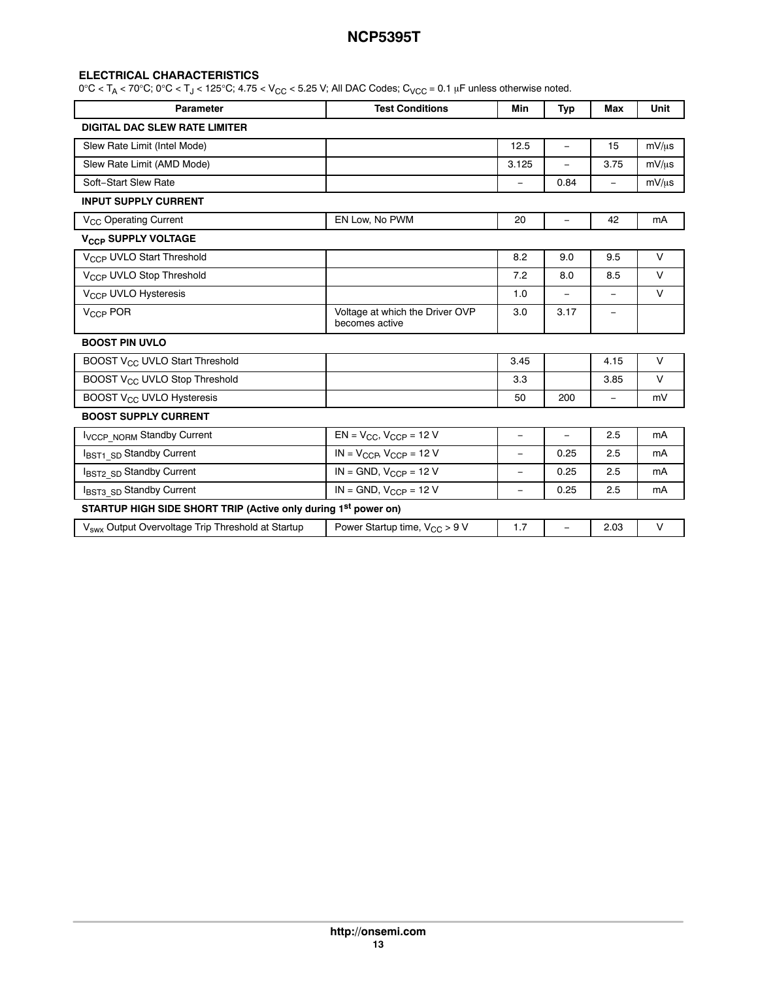#### **ELECTRICAL CHARACTERISTICS**

| <b>Parameter</b>                                               | <b>Test Conditions</b>                            | Min                      | <b>Typ</b>               | <b>Max</b>               | <b>Unit</b> |
|----------------------------------------------------------------|---------------------------------------------------|--------------------------|--------------------------|--------------------------|-------------|
| <b>DIGITAL DAC SLEW RATE LIMITER</b>                           |                                                   |                          |                          |                          |             |
| Slew Rate Limit (Intel Mode)                                   |                                                   | 12.5                     | $\equiv$                 | 15                       | $mV/\mu s$  |
| Slew Rate Limit (AMD Mode)                                     |                                                   | 3.125                    | $\equiv$                 | 3.75                     | $mV/\mu s$  |
| Soft-Start Slew Rate                                           |                                                   | $\equiv$                 | 0.84                     | $\overline{\phantom{0}}$ | $mV/\mu s$  |
| <b>INPUT SUPPLY CURRENT</b>                                    |                                                   |                          |                          |                          |             |
| V <sub>CC</sub> Operating Current                              | EN Low, No PWM                                    | 20                       | $\equiv$                 | 42                       | mA          |
| V <sub>CCP</sub> SUPPLY VOLTAGE                                |                                                   |                          |                          |                          |             |
| V <sub>CCP</sub> UVLO Start Threshold                          |                                                   | 8.2                      | 9.0                      | 9.5                      | $\vee$      |
| V <sub>CCP</sub> UVLO Stop Threshold                           |                                                   | 7.2                      | 8.0                      | 8.5                      | $\vee$      |
| V <sub>CCP</sub> UVLO Hysteresis                               |                                                   | 1.0                      | $\overline{\phantom{0}}$ |                          | $\vee$      |
| V <sub>CCP</sub> POR                                           | Voltage at which the Driver OVP<br>becomes active | 3.0                      | 3.17                     | $\overline{\phantom{m}}$ |             |
| <b>BOOST PIN UVLO</b>                                          |                                                   |                          |                          |                          |             |
| BOOST V <sub>CC</sub> UVLO Start Threshold                     |                                                   | 3.45                     |                          | 4.15                     | $\vee$      |
| BOOST V <sub>CC</sub> UVLO Stop Threshold                      |                                                   | 3.3                      |                          | 3.85                     | $\vee$      |
| BOOST V <sub>CC</sub> UVLO Hysteresis                          |                                                   | 50                       | 200                      | $\qquad \qquad -$        | mV          |
| <b>BOOST SUPPLY CURRENT</b>                                    |                                                   |                          |                          |                          |             |
| <b>IVCCP_NORM Standby Current</b>                              | $EN = V_{CC}$ , $V_{CCP} = 12 V$                  | $\qquad \qquad -$        | $\equiv$                 | 2.5                      | mA          |
| IBST1 SD Standby Current                                       | $IN = V_{CCP}$ , $V_{CCP} = 12$ V                 | $\qquad \qquad -$        | 0.25                     | 2.5                      | mA          |
| IBST2 SD Standby Current                                       | $IN = GND$ , $V_{CCP} = 12 V$                     | $\overline{\phantom{0}}$ | 0.25                     | 2.5                      | mA          |
| IBST3 SD Standby Current                                       | $IN = GND$ , $V_{CCP} = 12 V$                     | $\overline{\phantom{0}}$ | 0.25                     | 2.5                      | mA          |
| STARTUP HIGH SIDE SHORT TRIP (Active only during 1st power on) |                                                   |                          |                          |                          |             |
| V <sub>swx</sub> Output Overvoltage Trip Threshold at Startup  | Power Startup time, $V_{CC} > 9 V$                | 1.7                      | $\equiv$                 | 2.03                     | $\vee$      |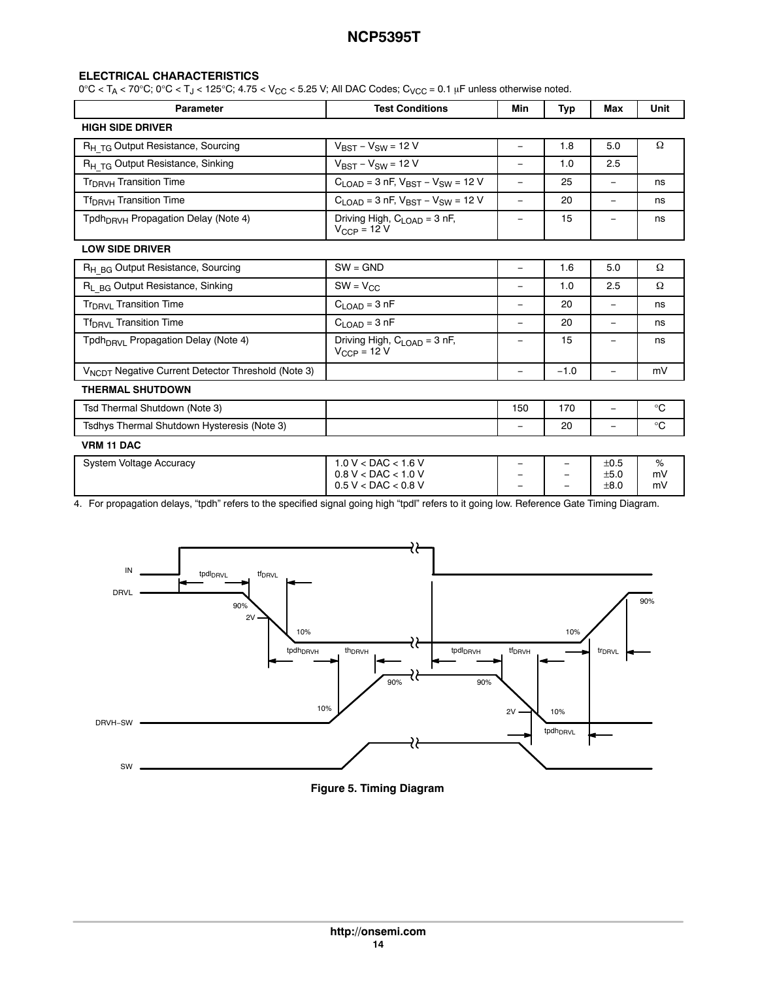#### **ELECTRICAL CHARACTERISTICS**

 $0^{\circ}C < T_A < 70^{\circ}C$ ;  $0^{\circ}C < T_J < 125^{\circ}C$ ;  $4.75 < V_{CC} < 5.25$  V; All DAC Codes;  $C_{VCC} = 0.1$  µF unless otherwise noted.

| <b>Parameter</b>                                               | <b>Test Conditions</b>                                                    | Min                      | <b>Typ</b> | Max                      | Unit          |
|----------------------------------------------------------------|---------------------------------------------------------------------------|--------------------------|------------|--------------------------|---------------|
| <b>HIGH SIDE DRIVER</b>                                        |                                                                           |                          |            |                          |               |
| R <sub>H TG</sub> Output Resistance, Sourcing                  | $V_{BST} - V_{SW} = 12 V$                                                 | $\qquad \qquad -$        | 1.8        | 5.0                      | Ω             |
| R <sub>H TG</sub> Output Resistance, Sinking                   | $V_{BST} - V_{SW} = 12 V$                                                 | $\qquad \qquad -$        | 1.0        | 2.5                      |               |
| Tr <sub>DRVH</sub> Transition Time                             | $C_{LOAD} = 3$ nF, $V_{BST} - V_{SW} = 12$ V                              | $\overline{\phantom{m}}$ | 25         | $\qquad \qquad =$        | ns            |
| Tf <sub>DRVH</sub> Transition Time                             | $C_{LOAD} = 3$ nF, $V_{BST} - V_{SW} = 12$ V                              | $\overline{\phantom{0}}$ | 20         | $\overline{\phantom{0}}$ | ns            |
| Tpdh <sub>DBVH</sub> Propagation Delay (Note 4)                | Driving High, C <sub>LOAD</sub> = 3 nF,<br>$V_{CCP} = 12$ V               | $\qquad \qquad -$        | 15         | $\qquad \qquad -$        | ns            |
| <b>LOW SIDE DRIVER</b>                                         |                                                                           |                          |            |                          |               |
| R <sub>H BG</sub> Output Resistance, Sourcing                  | $SW = GND$                                                                | $\qquad \qquad -$        | 1.6        | 5.0                      | Ω             |
| R <sub>L BG</sub> Output Resistance, Sinking                   | $SW = V_{CC}$                                                             | $\qquad \qquad -$        | 1.0        | 2.5                      | Ω             |
| Tr <sub>DRVI</sub> Transition Time                             | $C_{LOAD} = 3 nF$                                                         | $\overline{\phantom{0}}$ | 20         |                          | ns            |
| Tf <sub>DRVI</sub> Transition Time                             | $C_{\text{LOAD}} = 3 \text{ nF}$                                          | $\qquad \qquad -$        | 20         |                          | ns            |
| Tpdh <sub>DBVI</sub> Propagation Delay (Note 4)                | Driving High, $C_{\text{LOAD}} = 3 \text{ nF}$ ,<br>$V_{CCP} = 12 V$      | $\overline{\phantom{0}}$ | 15         |                          | ns            |
| V <sub>NCDT</sub> Negative Current Detector Threshold (Note 3) |                                                                           | $\qquad \qquad -$        | $-1.0$     | $\overline{\phantom{0}}$ | mV            |
| <b>THERMAL SHUTDOWN</b>                                        |                                                                           |                          |            |                          |               |
| Tsd Thermal Shutdown (Note 3)                                  |                                                                           | 150                      | 170        | $\overline{\phantom{0}}$ | $^{\circ}C$   |
| Tsdhys Thermal Shutdown Hysteresis (Note 3)                    |                                                                           | $\qquad \qquad \  \, -$  | 20         | -                        | $^{\circ}C$   |
| <b>VRM 11 DAC</b>                                              |                                                                           |                          |            |                          |               |
| <b>System Voltage Accuracy</b>                                 | $1.0 V <$ DAC $< 1.6 V$<br>$0.8 V <$ DAC < 1.0 V<br>$0.5 V <$ DAC < 0.8 V |                          |            | ±0.5<br>±5.0<br>±8.0     | %<br>mV<br>mV |

4. For propagation delays, "tpdh" refers to the specified signal going high "tpdl" refers to it going low. Reference Gate Timing Diagram.



#### **Figure 5. Timing Diagram**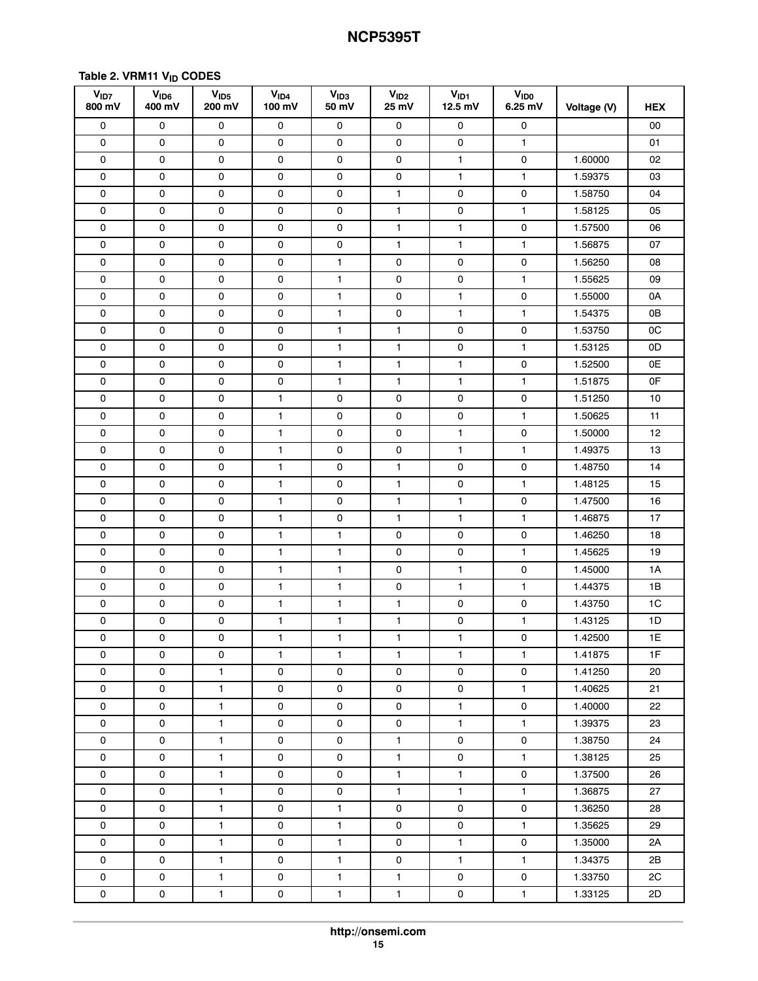## <span id="page-14-0"></span>Table 2. VRM11 V<sub>ID</sub> CODES

| V <sub>1D7</sub><br>800 mV | V <sub>ID6</sub><br>400 mV | V <sub>1D5</sub><br>200 mV | V <sub>ID4</sub><br>100 mV | V <sub>ID3</sub><br>50 mV | V <sub>ID2</sub><br>25 mV | V <sub>ID1</sub><br>$12.5$ mV | <b>VIDO</b><br>$6.25$ mV | Voltage (V) | <b>HEX</b> |
|----------------------------|----------------------------|----------------------------|----------------------------|---------------------------|---------------------------|-------------------------------|--------------------------|-------------|------------|
| 0                          | 0                          | 0                          | 0                          | 0                         | 0                         | 0                             | 0                        |             | 00         |
| 0                          | 0                          | 0                          | 0                          | 0                         | 0                         | 0                             | $\mathbf{1}$             |             | 01         |
| 0                          | 0                          | 0                          | 0                          | 0                         | 0                         | 1                             | 0                        | 1.60000     | 02         |
| 0                          | 0                          | 0                          | 0                          | 0                         | 0                         | $\mathbf{1}$                  | 1                        | 1.59375     | 03         |
| 0                          | 0                          | 0                          | 0                          | 0                         | $\mathbf{1}$              | 0                             | 0                        | 1.58750     | 04         |
| 0                          | 0                          | 0                          | 0                          | 0                         | $\mathbf{1}$              | 0                             | 1                        | 1.58125     | 05         |
| 0                          | 0                          | 0                          | 0                          | 0                         | $\mathbf{1}$              | 1                             | 0                        | 1.57500     | 06         |
| 0                          | 0                          | 0                          | 0                          | 0                         | $\mathbf{1}$              | 1                             | $\mathbf{1}$             | 1.56875     | 07         |
| 0                          | 0                          | 0                          | 0                          | $\mathbf{1}$              | 0                         | 0                             | 0                        | 1.56250     | 08         |
| 0                          | 0                          | 0                          | 0                          | $\mathbf{1}$              | 0                         | 0                             | $\mathbf{1}$             | 1.55625     | 09         |
| 0                          | 0                          | 0                          | 0                          | $\mathbf{1}$              | $\mathsf 0$               | $\mathbf{1}$                  | 0                        | 1.55000     | 0A         |
| 0                          | 0                          | 0                          | 0                          | 1                         | 0                         | $\mathbf{1}$                  | $\mathbf{1}$             | 1.54375     | 0B         |
| 0                          | 0                          | 0                          | 0                          | $\mathbf{1}$              | $\mathbf{1}$              | 0                             | 0                        | 1.53750     | 0C         |
| 0                          | 0                          | 0                          | 0                          | $\mathbf{1}$              | $\mathbf{1}$              | 0                             | $\mathbf{1}$             | 1.53125     | 0D         |
| 0                          | 0                          | 0                          | 0                          | $\mathbf{1}$              | $\mathbf{1}$              | $\mathbf{1}$                  | 0                        | 1.52500     | 0E         |
| 0                          | 0                          | 0                          | 0                          | $\mathbf{1}$              | $\mathbf{1}$              | $\mathbf{1}$                  | 1                        | 1.51875     | 0F         |
| 0                          | 0                          | 0                          | $\mathbf{1}$               | 0                         | 0                         | 0                             | 0                        | 1.51250     | 10         |
| 0                          | 0                          | 0                          | $\mathbf{1}$               | 0                         | 0                         | 0                             | $\mathbf{1}$             | 1.50625     | 11         |
| 0                          | 0                          | 0                          | $\mathbf{1}$               | 0                         | 0                         | $\mathbf{1}$                  | 0                        | 1.50000     | 12         |
| 0                          | 0                          | 0                          | 1                          | 0                         | 0                         | 1                             | $\mathbf{1}$             | 1.49375     | 13         |
| 0                          | 0                          | 0                          | $\mathbf{1}$               | 0                         | $\mathbf{1}$              | 0                             | 0                        | 1.48750     | 14         |
| 0                          | 0                          | 0                          | 1                          | 0                         | 1                         | 0                             | 1                        | 1.48125     | 15         |
| 0                          | 0                          | 0                          | 1                          | 0                         | $\mathbf{1}$              | $\mathbf{1}$                  | 0                        | 1.47500     | 16         |
| 0                          | $\mathsf{O}\xspace$        | 0                          | $\mathbf{1}$               | 0                         | $\mathbf{1}$              | $\mathbf{1}$                  | 1                        | 1.46875     | 17         |
| 0                          | 0                          | 0                          | 1                          | $\mathbf{1}$              | 0                         | 0                             | 0                        | 1.46250     | 18         |
| 0                          | 0                          | 0                          | $\mathbf{1}$               | $\mathbf{1}$              | 0                         | 0                             | $\mathbf{1}$             | 1.45625     | 19         |
| 0                          | 0                          | 0                          | $\mathbf{1}$               | $\mathbf{1}$              | 0                         | $\mathbf{1}$                  | 0                        | 1.45000     | 1A         |
| 0                          | 0                          | 0                          | 1                          | $\mathbf{1}$              | $\mathsf 0$               | 1                             | $\mathbf{1}$             | 1.44375     | 1B         |
| 0                          | 0                          | 0                          | $\mathbf{1}$               | $\mathbf{1}$              | $\mathbf{1}$              | 0                             | 0                        | 1.43750     | 1C         |
| 0                          | 0                          | 0                          | 1                          | $\mathbf{1}$              | $\mathbf{1}$              | 0                             | $\mathbf{1}$             | 1.43125     | 1D         |
| 0                          | 0                          | 0                          | 1                          | 1                         | 1                         | 1                             | 0                        | 1.42500     | 1E         |
| 0                          | 0                          | 0                          | $\mathbf{1}$               | $\mathbf{1}$              | $\mathbf{1}$              | $\mathbf{1}$                  | $\mathbf{1}$             | 1.41875     | 1F         |
| 0                          | $\mathsf{O}$               | $\mathbf{1}$               | 0                          | 0                         | $\mathsf{O}$              | 0                             | 0                        | 1.41250     | 20         |
| 0                          | $\mathsf{o}$               | $\mathbf{1}$               | 0                          | 0                         | 0                         | 0                             | $\mathbf{1}$             | 1.40625     | 21         |
| 0                          | 0                          | $\mathbf{1}$               | $\mathsf{O}$               | 0                         | $\mathsf{O}$              | $\mathbf{1}$                  | $\mathsf{o}$             | 1.40000     | 22         |
| 0                          | $\mathsf{o}$               | $\mathbf{1}$               | 0                          | 0                         | $\mathsf{O}$              | $\mathbf{1}$                  | $\mathbf{1}$             | 1.39375     | 23         |
| 0                          | 0                          | $\mathbf{1}$               | 0                          | 0                         | $\mathbf{1}$              | 0                             | $\mathsf{O}$             | 1.38750     | 24         |
| 0                          | 0                          | $\mathbf{1}$               | 0                          | 0                         | $\mathbf{1}$              | 0                             | $\mathbf{1}$             | 1.38125     | 25         |
| 0                          | $\mathsf{o}$               | $\mathbf{1}$               | 0                          | 0                         | $\mathbf{1}$              | $\mathbf{1}$                  | 0                        | 1.37500     | 26         |
| 0                          | $\mathsf{o}$               | $\mathbf{1}$               | 0                          | 0                         | $\mathbf{1}$              | $\mathbf{1}$                  | $\mathbf{1}$             | 1.36875     | 27         |
| 0                          | $\mathsf{o}$               | $\mathbf{1}$               | 0                          | $\mathbf{1}$              | $\mathsf{O}$              | 0                             | $\mathsf{O}$             | 1.36250     | 28         |
| 0                          | $\mathsf{o}$               | $\mathbf{1}$               | $\mathsf{O}$               | $\mathbf{1}$              | 0                         | 0                             | $\mathbf{1}$             | 1.35625     | 29         |
| 0                          | $\mathsf 0$                | $\mathbf{1}$               | 0                          | $\mathbf{1}$              | 0                         | $\mathbf{1}$                  | 0                        | 1.35000     | 2A         |
| 0                          | $\mathsf{o}$               | $\mathbf{1}$               | 0                          | $\mathbf{1}$              | 0                         | $\mathbf{1}$                  | $\mathbf{1}$             | 1.34375     | 2B         |
| 0                          | $\mathsf{o}$               | $\mathbf{1}$               | 0                          | $\mathbf{1}$              | $\mathbf{1}$              | $\mathsf{O}$                  | $\mathsf{O}$             | 1.33750     | 2C         |
| 0                          | 0                          | $\mathbf{1}$               | 0                          | $\mathbf{1}$              | $\mathbf{1}$              | 0                             | $\mathbf{1}$             | 1.33125     | 2D         |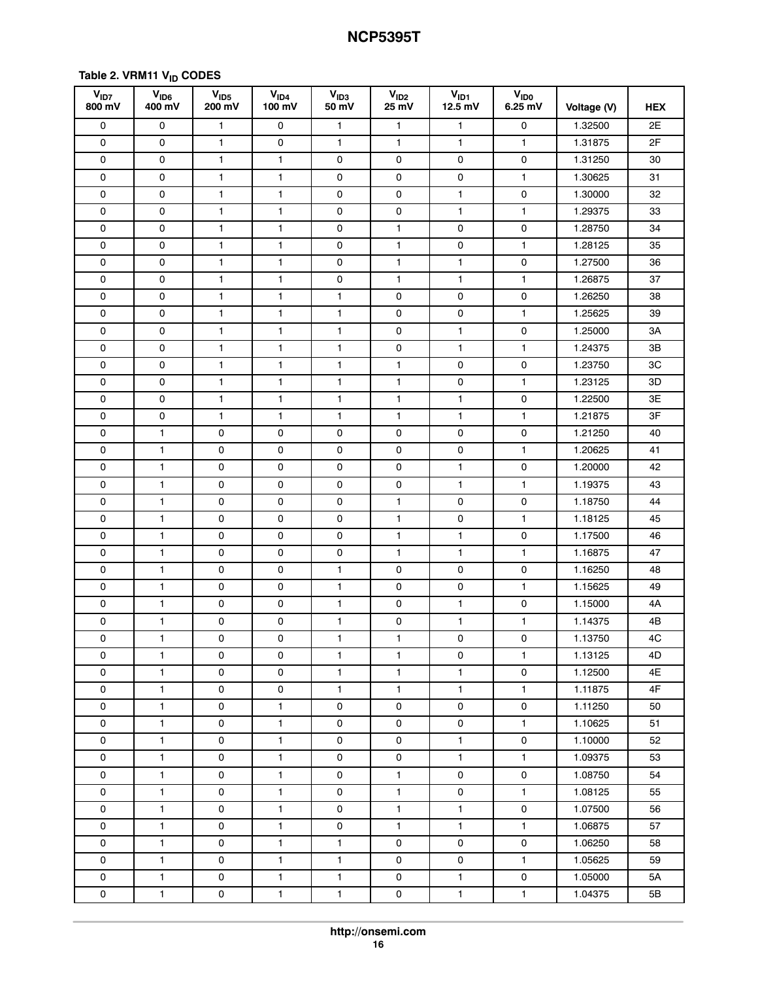#### **Table [2.](#page-14-0) VRM11 VID CODES**

| V <sub>1D7</sub><br>800 mV | $V_{ID6}$<br>400 mV | V <sub>1D5</sub><br>200 mV | $V_{ID4}$<br>100 mV | V <sub>1D3</sub><br>50 mV | V <sub>ID2</sub><br>25 mV | $V_{ID1}$<br>$12.5$ mV | V <sub>ID0</sub><br>6.25 mV | Voltage (V) | <b>HEX</b>      |
|----------------------------|---------------------|----------------------------|---------------------|---------------------------|---------------------------|------------------------|-----------------------------|-------------|-----------------|
| 0                          | 0                   | 1                          | 0                   | 1                         | $\mathbf{1}$              | 1                      | 0                           | 1.32500     | 2E              |
| $\mathsf 0$                | 0                   | 1                          | 0                   | $\mathbf{1}$              | $\mathbf{1}$              | $\mathbf{1}$           | 1                           | 1.31875     | 2F              |
| 0                          | 0                   | 1                          | 1                   | 0                         | 0                         | 0                      | 0                           | 1.31250     | 30              |
| 0                          | 0                   | 1                          | 1                   | 0                         | 0                         | 0                      | 1                           | 1.30625     | 31              |
| 0                          | 0                   | 1                          | 1                   | 0                         | 0                         | $\mathbf{1}$           | 0                           | 1.30000     | 32              |
| 0                          | 0                   | 1                          | 1                   | 0                         | $\mathsf{O}\xspace$       | 1                      | 1                           | 1.29375     | 33              |
| 0                          | 0                   | 1                          | 1                   | $\mathsf 0$               | $\mathbf{1}$              | 0                      | 0                           | 1.28750     | 34              |
| 0                          | 0                   | 1                          | 1                   | 0                         | $\mathbf{1}$              | 0                      | 1                           | 1.28125     | 35              |
| 0                          | 0                   | 1                          | 1                   | 0                         | 1                         | $\mathbf{1}$           | 0                           | 1.27500     | 36              |
| $\mathsf 0$                | 0                   | 1                          | 1                   | 0                         | $\mathbf{1}$              | 1                      | 1                           | 1.26875     | 37              |
| 0                          | 0                   | 1                          | 1                   | 1                         | 0                         | 0                      | 0                           | 1.26250     | 38              |
| $\mathsf 0$                | 0                   | 1                          | $\mathbf{1}$        | $\mathbf{1}$              | $\mathsf 0$               | $\mathsf{O}$           | 1                           | 1.25625     | 39              |
| 0                          | 0                   | 1                          | 1                   | $\mathbf{1}$              | 0                         | $\mathbf{1}$           | 0                           | 1.25000     | ЗA              |
| 0                          | 0                   | 1                          | 1                   | $\mathbf{1}$              | 0                         | $\mathbf{1}$           | 1                           | 1.24375     | 3B              |
| 0                          | 0                   | 1                          | 1                   | $\mathbf{1}$              | 1                         | 0                      | 0                           | 1.23750     | 3C              |
| 0                          | 0                   | 1                          | 1                   | $\mathbf{1}$              | 1                         | 0                      | 1                           | 1.23125     | ЗD              |
| 0                          | 0                   | 1                          | 1                   | $\mathbf{1}$              | $\mathbf{1}$              | 1                      | 0                           | 1.22500     | 3E              |
| 0                          | 0                   | 1                          | $\mathbf{1}$        | $\mathbf{1}$              | $\mathbf{1}$              | 1                      | 1                           | 1.21875     | 3F              |
| 0                          | 1                   | 0                          | 0                   | 0                         | 0                         | 0                      | 0                           | 1.21250     | 40              |
| $\mathsf 0$                | 1                   | 0                          | 0                   | 0                         | $\mathsf 0$               | 0                      | 1                           | 1.20625     | 41              |
| 0                          | $\mathbf{1}$        | 0                          | 0                   | 0                         | 0                         | $\mathbf{1}$           | 0                           | 1.20000     | 42              |
| $\mathsf 0$                | $\mathbf{1}$        | 0                          | 0                   | 0                         | $\mathsf 0$               | $\mathbf{1}$           | 1                           | 1.19375     | 43              |
| 0                          | 1                   | 0                          | 0                   | 0                         | 1                         | 0                      | 0                           | 1.18750     | 44              |
| 0                          | 1                   | 0                          | 0                   | 0                         | 1                         | 0                      | 1                           | 1.18125     | 45              |
| $\mathsf 0$                | 1                   | 0                          | 0                   | 0                         | 1                         | $\mathbf{1}$           | 0                           | 1.17500     | 46              |
| 0                          | 1                   | 0                          | 0                   | $\mathbf 0$               | 1                         | $\mathbf{1}$           | 1                           | 1.16875     | 47              |
| 0                          | $\mathbf{1}$        | 0                          | 0                   | $\mathbf{1}$              | 0                         | 0                      | 0                           | 1.16250     | 48              |
| 0                          | $\mathbf{1}$        | 0                          | 0                   | $\mathbf{1}$              | 0                         | 0                      | 1                           | 1.15625     | 49              |
| 0                          | 1                   | 0                          | 0                   | $\mathbf{1}$              | 0                         | 1                      | 0                           | 1.15000     | 4A              |
| $\mathsf{O}\xspace$        | 1                   | 0                          | 0                   | 1                         | $\mathsf 0$               | 1                      | 1                           | 1.14375     | 4B              |
| $\mathsf{O}\xspace$        | $\mathbf{1}$        | $\mathsf{O}\xspace$        | 0                   | $\mathbf{1}$              | $\mathbf{1}$              | $\pmb{0}$              | $\mathsf 0$                 | 1.13750     | $4\overline{C}$ |
| $\mathsf{o}$               | $\mathbf{1}$        | 0                          | 0                   | $\mathbf{1}$              | $\mathbf{1}$              | $\mathsf{O}\xspace$    | $\mathbf{1}$                | 1.13125     | 4D              |
| $\mathsf{O}$               | $\mathbf{1}$        | 0                          | 0                   | $\mathbf{1}$              | $\mathbf{1}$              | $\mathbf{1}$           | 0                           | 1.12500     | 4E              |
| $\mathsf{O}$               | $\mathbf{1}$        | 0                          | 0                   | $\mathbf{1}$              | $\mathbf{1}$              | $\mathbf{1}$           | $\mathbf{1}$                | 1.11875     | 4F              |
| 0                          | $\mathbf{1}$        | 0                          | $\mathbf{1}$        | $\mathsf 0$               | 0                         | 0                      | $\mathsf{O}$                | 1.11250     | 50              |
| $\mathsf{o}$               | $\mathbf{1}$        | 0                          | $\mathbf{1}$        | $\mathsf 0$               | 0                         | 0                      | $\mathbf{1}$                | 1.10625     | 51              |
| $\mathsf{O}$               | $\mathbf 1$         | $\mathsf{o}$               | $\mathbf{1}$        | $\mathsf{o}$              | $\mathsf{O}$              | $\mathbf{1}$           | $\mathsf{O}\xspace$         | 1.10000     | 52              |
| 0                          | $\mathbf{1}$        | 0                          | $\mathbf{1}$        | 0                         | 0                         | $\mathbf{1}$           | $\mathbf{1}$                | 1.09375     | 53              |
| $\mathsf{O}$               | $\mathbf{1}$        | 0                          | $\mathbf{1}$        | 0                         | $\mathbf{1}$              | 0                      | 0                           | 1.08750     | 54              |
| 0                          | $\mathbf{1}$        | 0                          | $\mathbf{1}$        | $\mathbf 0$               | $\mathbf{1}$              | 0                      | $\mathbf{1}$                | 1.08125     | 55              |
| $\mathsf{o}$               | $\mathbf{1}$        | $\mathsf{o}\,$             | $\mathbf{1}$        | 0                         | $\mathbf{1}$              | $\mathbf{1}$           | $\mathbf 0$                 | 1.07500     | 56              |
| 0                          | $\mathbf{1}$        | 0                          | $\mathbf{1}$        | $\mathsf 0$               | $\mathbf{1}$              | $\mathbf{1}$           | $\mathbf{1}$                | 1.06875     | 57              |
| $\mathsf{O}$               | $\mathbf{1}$        | 0                          | $\mathbf{1}$        | $\mathbf{1}$              | $\mathsf{O}$              | 0                      | 0                           | 1.06250     | 58              |
| 0                          | $\mathbf{1}$        | 0                          | $\mathbf{1}$        | $\mathbf{1}$              | $\mathsf{O}$              | $\mathsf{O}$           | $\mathbf{1}$                | 1.05625     | 59              |
| $\mathsf{O}$               | $\mathbf{1}$        | 0                          | $\mathbf{1}$        | $\mathbf{1}$              | 0                         | $\mathbf{1}$           | 0                           | 1.05000     | 5A              |
| $\mathsf{O}$               | $\mathbf{1}$        | 0                          | $\mathbf{1}$        | $\mathbf{1}$              | 0                         | $\mathbf{1}$           | $\mathbf{1}$                | 1.04375     | 5B              |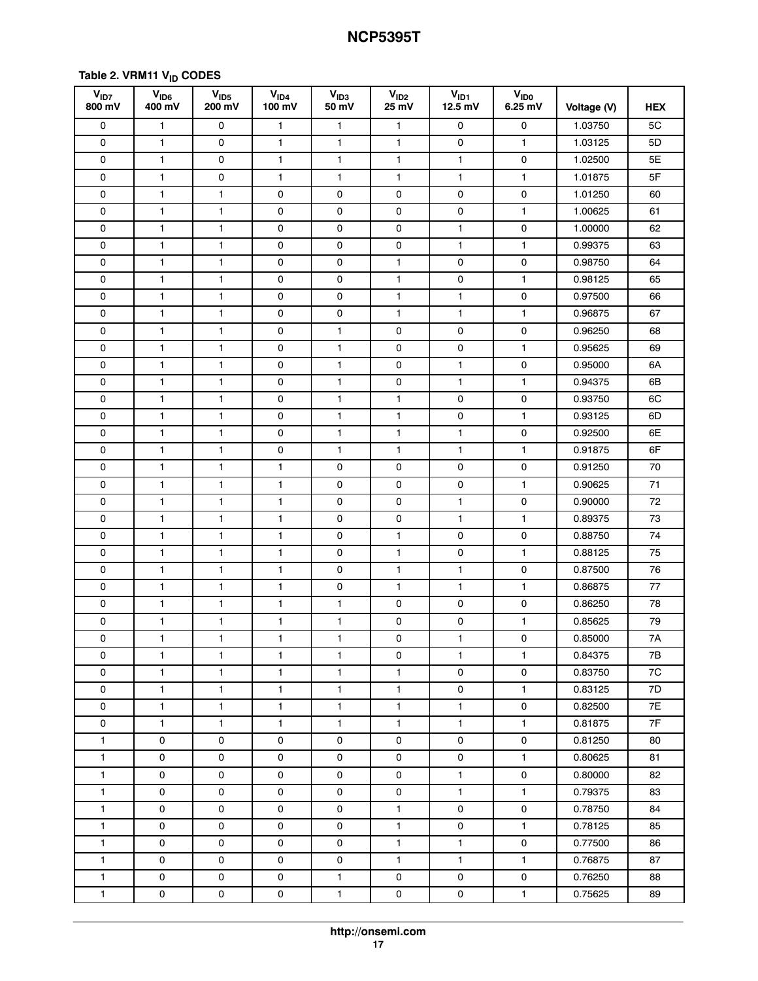#### **Table [2.](#page-14-0) VRM11 VID CODES**

| V <sub>ID7</sub><br>800 mV | V <sub>ID6</sub><br>400 mV | V <sub>1D5</sub><br>200 mV | V <sub>1D4</sub><br>100 mV | V <sub>ID3</sub><br>50 mV | V <sub>ID2</sub><br>25 mV | $V_{ID1}$<br>$12.5$ mV | <b>V<sub>IDO</sub></b><br>$6.25$ mV | Voltage (V) | <b>HEX</b> |
|----------------------------|----------------------------|----------------------------|----------------------------|---------------------------|---------------------------|------------------------|-------------------------------------|-------------|------------|
| 0                          | 1                          | 0                          | 1                          | $\mathbf{1}$              | $\mathbf{1}$              | 0                      | 0                                   | 1.03750     | 5C         |
| $\mathsf 0$                | 1                          | 0                          | 1                          | $\mathbf{1}$              | $\mathbf{1}$              | $\mathsf{O}\xspace$    | 1                                   | 1.03125     | 5D         |
| $\mathsf 0$                | 1                          | 0                          | 1                          | $\mathbf{1}$              | $\mathbf{1}$              | $\mathbf{1}$           | 0                                   | 1.02500     | 5E         |
| 0                          | $\mathbf{1}$               | 0                          | $\mathbf{1}$               | $\mathbf{1}$              | $\mathbf{1}$              | $\mathbf{1}$           | $\mathbf{1}$                        | 1.01875     | 5F         |
| 0                          | $\mathbf{1}$               | 1                          | 0                          | 0                         | 0                         | 0                      | 0                                   | 1.01250     | 60         |
| $\mathsf 0$                | 1                          | 1                          | 0                          | $\mathsf{O}$              | $\mathsf 0$               | $\mathsf{O}\xspace$    | 1                                   | 1.00625     | 61         |
| $\mathbf 0$                | $\mathbf{1}$               | 1                          | 0                          | 0                         | $\mathsf 0$               | $\mathbf{1}$           | 0                                   | 1.00000     | 62         |
| 0                          | 1                          | $\mathbf{1}$               | 0                          | 0                         | 0                         | $\mathbf{1}$           | $\mathbf{1}$                        | 0.99375     | 63         |
| 0                          | $\mathbf{1}$               | 1                          | 0                          | 0                         | $\mathbf{1}$              | 0                      | 0                                   | 0.98750     | 64         |
| 0                          | 1                          | 1                          | 0                          | 0                         | $\mathbf{1}$              | 0                      | 1                                   | 0.98125     | 65         |
| 0                          | $\mathbf{1}$               | 1                          | 0                          | 0                         | $\mathbf{1}$              | $\mathbf{1}$           | 0                                   | 0.97500     | 66         |
| $\mathsf 0$                | 1                          | 1                          | $\mathsf{O}\xspace$        | $\mathsf{O}$              | $\mathbf{1}$              | $\mathbf{1}$           | 1                                   | 0.96875     | 67         |
| $\mathsf 0$                | 1                          | 1                          | 0                          | $\mathbf{1}$              | $\mathsf 0$               | 0                      | 0                                   | 0.96250     | 68         |
| 0                          | $\mathbf{1}$               | $\mathbf{1}$               | 0                          | $\mathbf{1}$              | 0                         | 0                      | $\mathbf{1}$                        | 0.95625     | 69         |
| 0                          | 1                          | 1                          | 0                          | $\mathbf{1}$              | 0                         | $\mathbf{1}$           | 0                                   | 0.95000     | 6A         |
| $\mathsf 0$                | 1                          | 1                          | 0                          | $\mathbf{1}$              | $\mathsf 0$               | $\mathbf{1}$           | $\mathbf{1}$                        | 0.94375     | 6B         |
| $\mathsf 0$                | 1                          | 1                          | 0                          | $\mathbf{1}$              | $\mathbf{1}$              | $\mathsf{O}\xspace$    | $\mathsf{O}\xspace$                 | 0.93750     | 6C         |
| 0                          | 1                          | 1                          | 0                          | $\mathbf{1}$              | $\mathbf{1}$              | 0                      | $\mathbf{1}$                        | 0.93125     | 6D         |
| $\mathsf 0$                | $\mathbf{1}$               | 1                          | 0                          | $\mathbf{1}$              | $\mathbf{1}$              | $\mathbf{1}$           | $\mathsf{O}\xspace$                 | 0.92500     | 6E         |
| 0                          | 1                          | 1                          | 0                          | $\mathbf{1}$              | $\mathbf{1}$              | $\mathbf{1}$           | $\mathbf{1}$                        | 0.91875     | 6F         |
| 0                          | 1                          | 1                          | 1                          | 0                         | $\mathsf{O}\xspace$       | $\mathsf{O}\xspace$    | 0                                   | 0.91250     | 70         |
| $\mathsf 0$                | 1                          | 1                          | 1                          | 0                         | 0                         | 0                      | $\mathbf{1}$                        | 0.90625     | 71         |
| $\mathsf 0$                | 1                          | 1                          | 1                          | 0                         | 0                         | $\mathbf{1}$           | 0                                   | 0.90000     | 72         |
| 0                          | $\mathbf{1}$               | 1                          | $\mathbf{1}$               | 0                         | 0                         | $\mathbf{1}$           | $\mathbf{1}$                        | 0.89375     | 73         |
| 0                          | 1                          | 1                          | 1                          | 0                         | $\mathbf{1}$              | 0                      | 0                                   | 0.88750     | 74         |
| $\mathsf 0$                | $\mathbf{1}$               | 1                          | 1                          | 0                         | $\mathbf{1}$              | $\mathsf{O}\xspace$    | $\mathbf{1}$                        | 0.88125     | 75         |
| $\mathsf 0$                | $\mathbf{1}$               | 1                          | 1                          | 0                         | $\mathbf{1}$              | $\mathbf{1}$           | 0                                   | 0.87500     | 76         |
| 0                          | 1                          | 1                          | 1                          | 0                         | $\mathbf{1}$              | $\mathbf{1}$           | $\mathbf{1}$                        | 0.86875     | 77         |
| $\mathsf 0$                | $\mathbf{1}$               | 1                          | 1                          | $\mathbf{1}$              | 0                         | 0                      | 0                                   | 0.86250     | 78         |
| $\mathsf 0$                | 1                          | 1                          | 1                          | 1                         | $\mathsf 0$               | 0                      | 1                                   | 0.85625     | 79         |
| $\pmb{0}$                  | 1                          | $\mathbf{1}$               | 1                          | 1                         | 0                         | 1                      | 0                                   | 0.85000     | 7A         |
| 0                          | $\mathbf{1}$               | $\mathbf{1}$               | $\mathbf{1}$               | $\mathbf{1}$              | 0                         | $\mathbf{1}$           | $\mathbf{1}$                        | 0.84375     | 7B         |
| $\mathsf{O}$               | $\mathbf{1}$               | $\mathbf{1}$               | $\mathbf{1}$               | $\mathbf{1}$              | $\mathbf{1}$              | 0                      | 0                                   | 0.83750     | 7C         |
| 0                          | $\mathbf{1}$               | $\mathbf{1}$               | $\mathbf{1}$               | $\mathbf{1}$              | $\mathbf{1}$              | 0                      | $\mathbf{1}$                        | 0.83125     | 7D         |
| $\mathsf{O}$               | $\mathbf{1}$               | $\mathbf{1}$               | $\mathbf{1}$               | $\mathbf{1}$              | $\mathbf{1}$              | $\mathbf{1}$           | 0                                   | 0.82500     | 7E         |
| 0                          | $\mathbf{1}$               | $\mathbf{1}$               | $\mathbf{1}$               | $\mathbf{1}$              | $\mathbf{1}$              | $\mathbf{1}$           | $\mathbf{1}$                        | 0.81875     | 7F         |
| $\mathbf{1}$               | $\mathsf{O}$               | 0                          | 0                          | 0                         | 0                         | $\mathsf{O}$           | 0                                   | 0.81250     | 80         |
| $\mathbf{1}$               | 0                          | 0                          | 0                          | 0                         | $\mathsf{O}$              | 0                      | $\mathbf{1}$                        | 0.80625     | 81         |
| $\mathbf{1}$               | 0                          | 0                          | 0                          | 0                         | 0                         | $\mathbf{1}$           | 0                                   | 0.80000     | 82         |
| $\mathbf{1}$               | 0                          | 0                          | 0                          | 0                         | 0                         | $\mathbf{1}$           | $\mathbf{1}$                        | 0.79375     | 83         |
| $\mathbf{1}$               | $\mathsf{O}$               | 0                          | 0                          | 0                         | $\mathbf{1}$              | 0                      | 0                                   | 0.78750     | 84         |
| $\mathbf{1}$               | $\mathsf{O}$               | $\mathsf{O}\xspace$        | $\mathsf{O}\xspace$        | $\mathsf{o}\,$            | $\mathbf{1}$              | $\mathsf{O}\xspace$    | $\mathbf{1}$                        | 0.78125     | 85         |
| $\mathbf{1}$               | 0                          | 0                          | 0                          | 0                         | $\mathbf{1}$              | $\mathbf{1}$           | $\mathsf{O}$                        | 0.77500     | 86         |
| $\mathbf{1}$               | 0                          | 0                          | 0                          | 0                         | $\mathbf{1}$              | $\mathbf{1}$           | $\mathbf{1}$                        | 0.76875     | 87         |
| $\mathbf{1}$               | 0                          | 0                          | 0                          | $\mathbf{1}$              | $\mathsf{O}$              | 0                      | $\mathsf{O}$                        | 0.76250     | 88         |
| $\mathbf{1}$               | $\mathsf{O}$               | 0                          | 0                          | $\mathbf{1}$              | $\mathsf{O}$              | 0                      | $\mathbf{1}$                        | 0.75625     | 89         |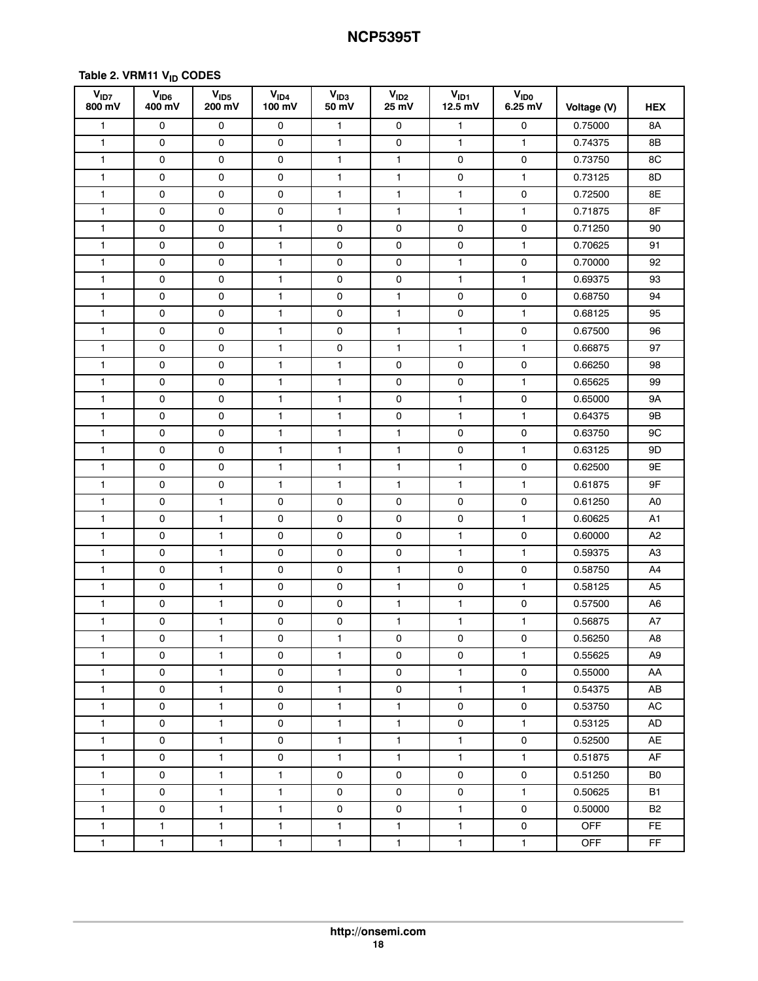#### **Table [2.](#page-14-0) VRM11 VID CODES**

| V <sub>ID7</sub><br>800 mV | V <sub>ID6</sub><br>400 mV | V <sub>ID5</sub><br>200 mV | V <sub>1D4</sub><br>100 mV | V <sub>1D3</sub><br>50 mV | V <sub>ID2</sub><br>25 mV | V <sub>ID1</sub><br>$12.5$ mV | <b>V<sub>IDO</sub></b><br>6.25 mV | Voltage (V) | <b>HEX</b>     |
|----------------------------|----------------------------|----------------------------|----------------------------|---------------------------|---------------------------|-------------------------------|-----------------------------------|-------------|----------------|
| $\mathbf{1}$               | 0                          | 0                          | 0                          | $\mathbf{1}$              | 0                         | $\mathbf{1}$                  | 0                                 | 0.75000     | 8A             |
| $\mathbf{1}$               | 0                          | 0                          | 0                          | $\mathbf{1}$              | 0                         | $\mathbf{1}$                  | $\mathbf{1}$                      | 0.74375     | 8Β             |
| $\mathbf{1}$               | 0                          | 0                          | 0                          | $\mathbf{1}$              | $\mathbf{1}$              | 0                             | 0                                 | 0.73750     | 8C             |
| $\mathbf{1}$               | 0                          | 0                          | 0                          | $\mathbf{1}$              | $\mathbf{1}$              | 0                             | $\mathbf{1}$                      | 0.73125     | 8D             |
| $\mathbf{1}$               | 0                          | 0                          | $\mathsf{O}$               | $\mathbf{1}$              | $\mathbf{1}$              | $\mathbf{1}$                  | $\mathsf{O}\xspace$               | 0.72500     | 8E             |
| $\mathbf{1}$               | 0                          | 0                          | 0                          | $\mathbf{1}$              | $\mathbf{1}$              | 1                             | $\mathbf{1}$                      | 0.71875     | 8F             |
| $\mathbf{1}$               | 0                          | 0                          | $\mathbf{1}$               | 0                         | 0                         | 0                             | 0                                 | 0.71250     | 90             |
| $\mathbf{1}$               | 0                          | 0                          | 1                          | 0                         | 0                         | 0                             | 1                                 | 0.70625     | 91             |
| $\mathbf{1}$               | 0                          | 0                          | $\mathbf{1}$               | 0                         | $\mathsf 0$               | $\mathbf{1}$                  | $\mathsf{O}\xspace$               | 0.70000     | 92             |
| $\mathbf{1}$               | 0                          | 0                          | $\mathbf{1}$               | $\mathsf{O}$              | $\mathsf 0$               | $\mathbf{1}$                  | 1                                 | 0.69375     | 93             |
| $\mathbf{1}$               | 0                          | 0                          | $\mathbf{1}$               | 0                         | $\mathbf{1}$              | 0                             | 0                                 | 0.68750     | 94             |
| $\mathbf{1}$               | 0                          | 0                          | $\mathbf{1}$               | 0                         | $\mathbf{1}$              | 0                             | $\mathbf{1}$                      | 0.68125     | 95             |
| $\mathbf{1}$               | 0                          | 0                          | $\mathbf{1}$               | 0                         | $\mathbf{1}$              | $\mathbf{1}$                  | 0                                 | 0.67500     | 96             |
| $\mathbf{1}$               | 0                          | 0                          | 1                          | 0                         | $\mathbf{1}$              | $\mathbf{1}$                  | $\mathbf{1}$                      | 0.66875     | 97             |
| $\mathbf{1}$               | 0                          | 0                          | $\mathbf{1}$               | $\mathbf{1}$              | $\mathsf 0$               | $\mathsf{O}\xspace$           | $\mathsf{O}\xspace$               | 0.66250     | 98             |
| $\mathbf{1}$               | 0                          | 0                          | $\mathbf{1}$               | $\mathbf{1}$              | 0                         | 0                             | 1                                 | 0.65625     | 99             |
| $\mathbf{1}$               | 0                          | 0                          | $\mathbf{1}$               | $\mathbf{1}$              | 0                         | $\mathbf{1}$                  | 0                                 | 0.65000     | <b>9A</b>      |
| $\mathbf{1}$               | 0                          | 0                          | 1                          | $\mathbf{1}$              | 0                         | $\mathbf{1}$                  | $\mathbf{1}$                      | 0.64375     | 9B             |
| $\mathbf{1}$               | 0                          | 0                          | $\mathbf{1}$               | $\mathbf{1}$              | $\mathbf{1}$              | 0                             | 0                                 | 0.63750     | 9C             |
| $\mathbf{1}$               | 0                          | 0                          | $\mathbf{1}$               | $\mathbf{1}$              | $\mathbf{1}$              | 0                             | $\mathbf{1}$                      | 0.63125     | 9D             |
| $\mathbf{1}$               | 0                          | 0                          | $\mathbf{1}$               | $\mathbf{1}$              | $\mathbf{1}$              | $\mathbf{1}$                  | 0                                 | 0.62500     | 9E             |
| $\mathbf{1}$               | 0                          | 0                          | $\mathbf{1}$               | $\mathbf{1}$              | 1                         | 1                             | 1                                 | 0.61875     | 9F             |
| $\mathbf{1}$               | 0                          | 1                          | 0                          | 0                         | 0                         | 0                             | 0                                 | 0.61250     | A0             |
| $\mathbf{1}$               | 0                          | 1                          | 0                          | 0                         | 0                         | 0                             | $\mathbf{1}$                      | 0.60625     | A1             |
| $\mathbf{1}$               | 0                          | 1                          | $\mathsf{O}$               | $\mathsf{O}$              | $\mathsf 0$               | $\mathbf{1}$                  | $\mathsf{O}\xspace$               | 0.60000     | A <sub>2</sub> |
| $\mathbf{1}$               | 0                          | 1                          | 0                          | 0                         | 0                         | 1                             | $\mathbf{1}$                      | 0.59375     | A3             |
| $\mathbf{1}$               | 0                          | $\mathbf{1}$               | 0                          | 0                         | $\mathbf{1}$              | 0                             | 0                                 | 0.58750     | A4             |
| $\mathbf{1}$               | 0                          | 1                          | 0                          | 0                         | $\mathbf{1}$              | 0                             | 1                                 | 0.58125     | A5             |
| $\mathbf{1}$               | 0                          | 1                          | 0                          | 0                         | $\mathbf{1}$              | $\mathbf{1}$                  | 0                                 | 0.57500     | A6             |
| $\mathbf{1}$               | 0                          | 1                          | $\mathsf{O}\xspace$        | $\mathsf{O}$              | $\mathbf{1}$              | 1                             | 1                                 | 0.56875     | A7             |
| $\mathbf{1}$               | 0                          | $\mathbf{1}$               | 0                          | $\mathbf{1}$              | $\mathbf 0$               | 0                             | 0                                 | 0.56250     | A8             |
| $\mathbf{1}$               | 0                          | $\mathbf{1}$               | $\mathsf{O}$               | $\mathbf{1}$              | 0                         | 0                             | $\mathbf{1}$                      | 0.55625     | A9             |
| $\mathbf{1}$               | $\mathsf{O}$               | $\mathbf{1}$               | 0                          | $\mathbf{1}$              | $\mathsf{O}$              | $\mathbf{1}$                  | $\mathsf{O}$                      | 0.55000     | AA             |
| $\mathbf{1}$               | $\mathsf{o}$               | $\mathbf{1}$               | $\mathsf{O}$               | $\mathbf{1}$              | $\mathsf{O}$              | $\mathbf{1}$                  | $\mathbf{1}$                      | 0.54375     | AB             |
| $\mathbf{1}$               | $\mathsf{o}$               | $\mathbf{1}$               | $\mathsf{O}$               | $\mathbf{1}$              | $\mathbf{1}$              | $\mathsf{O}$                  | $\mathsf{O}$                      | 0.53750     | AC             |
| $\mathbf{1}$               | 0                          | $\mathbf{1}$               | 0                          | $\mathbf{1}$              | $\mathbf{1}$              | 0                             | $\mathbf{1}$                      | 0.53125     | AD             |
| $\mathbf{1}$               | 0                          | $\mathbf{1}$               | 0                          | $\mathbf{1}$              | $\mathbf{1}$              | $\mathbf{1}$                  | $\mathsf{O}$                      | 0.52500     | AE             |
| $\mathbf{1}$               | 0                          | $\mathbf{1}$               | $\mathsf{O}$               | $\mathbf{1}$              | $\mathbf{1}$              | $\mathbf{1}$                  | $\mathbf{1}$                      | 0.51875     | AF             |
| $\mathbf{1}$               | $\mathsf{o}$               | $\mathbf{1}$               | $\mathbf{1}$               | 0                         | 0                         | $\mathsf{O}$                  | 0                                 | 0.51250     | B0             |
| $\mathbf{1}$               | $\mathsf{o}$               | $\mathbf{1}$               | $\mathbf{1}$               | 0                         | 0                         | 0                             | $\mathbf{1}$                      | 0.50625     | B1             |
| $\mathbf{1}$               | 0                          | $\mathbf{1}$               | $\mathbf{1}$               | 0                         | 0                         | $\mathbf{1}$                  | 0                                 | 0.50000     | <b>B2</b>      |
| $\mathbf{1}$               | $\mathbf{1}$               | $\mathbf{1}$               | $\mathbf{1}$               | $\mathbf{1}$              | $\mathbf{1}$              | $\mathbf{1}$                  | 0                                 | <b>OFF</b>  | FE.            |
| $\mathbf{1}$               | $\mathbf{1}$               | $\mathbf{1}$               | $\mathbf{1}$               | $\mathbf{1}$              | $\mathbf{1}$              | $\mathbf{1}$                  | $\mathbf 1$                       | <b>OFF</b>  | FF             |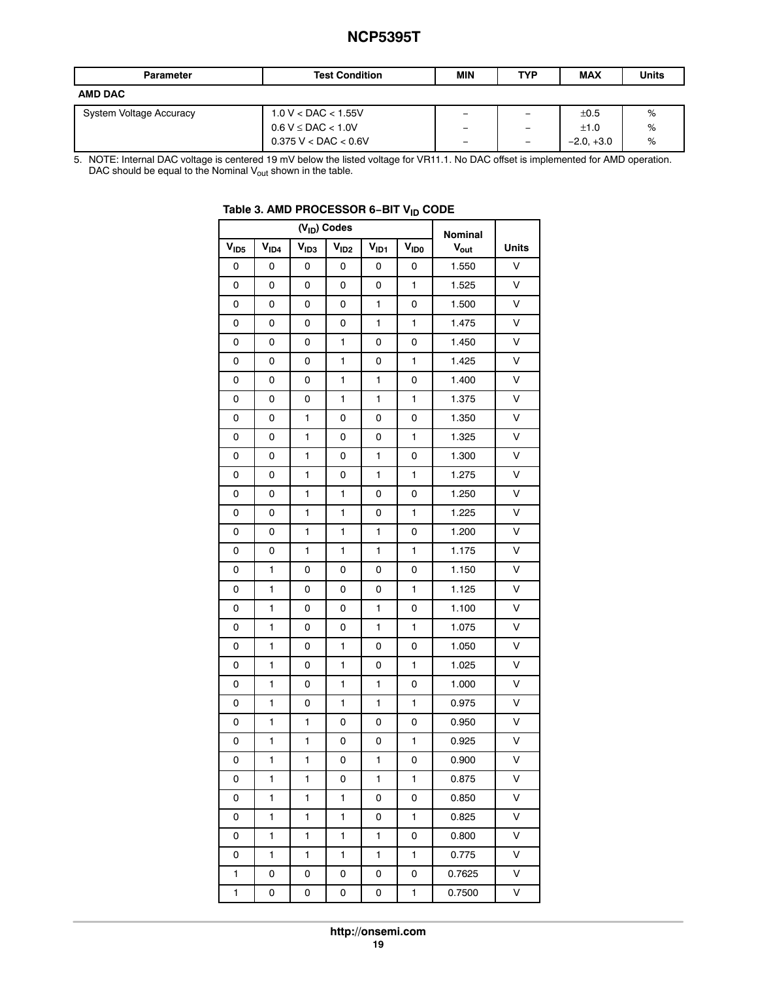<span id="page-18-0"></span>

| <b>Parameter</b>        | <b>Test Condition</b>    | <b>MIN</b>               | <b>TYP</b>               | <b>MAX</b>   | <b>Units</b> |
|-------------------------|--------------------------|--------------------------|--------------------------|--------------|--------------|
| <b>AMD DAC</b>          |                          |                          |                          |              |              |
| System Voltage Accuracy | $1.0 V <$ DAC $<$ 1.55V  | $\overline{\phantom{0}}$ | $\overline{\phantom{0}}$ | ±0.5         | %            |
|                         | $0.6 V \leq DAC < 1.0 V$ | $\overline{\phantom{0}}$ | $\overline{\phantom{0}}$ | ±1.0         | %            |
|                         | $0.375$ V < DAC < 0.6V   | -                        |                          | $-2.0. +3.0$ | %            |

5. NOTE: Internal DAC voltage is centered 19 mV below the listed voltage for VR11.1. No DAC offset is implemented for AMD operation. DAC should be equal to the Nominal V $_{\rm out}$  shown in the table.

|                  |                  | Nominal          |                  |                  |      |                  |        |
|------------------|------------------|------------------|------------------|------------------|------|------------------|--------|
| V <sub>ID5</sub> | V <sub>ID4</sub> | V <sub>ID3</sub> | V <sub>1D2</sub> | V <sub>ID1</sub> | VIDO | $V_{\text{out}}$ | Units  |
| 0                | 0                | 0                | 0                | 0                | 0    | 1.550            | $\vee$ |
| 0                | 0                | 0                | 0                | 0                | 1    | 1.525            | v      |
| 0                | 0                | 0                | 0                | 1                | 0    | 1.500            | V      |
| 0                | 0                | 0                | 0                | 1                | 1    | 1.475            | V      |
| 0                | 0                | 0                | 1                | 0                | 0    | 1.450            | V      |
| 0                | 0                | 0                | 1                | 0                | 1    | 1.425            | V      |
| 0                | 0                | 0                | 1                | 1                | 0    | 1.400            | V      |
| 0                | 0                | 0                | 1                | 1                | 1    | 1.375            | V      |
| 0                | 0                | 1                | 0                | 0                | 0    | 1.350            | V      |
| 0                | 0                | 1                | 0                | 0                | 1    | 1.325            | V      |
| 0                | 0                | 1                | 0                | 1                | 0    | 1.300            | $\vee$ |
| 0                | 0                | 1                | 0                | 1                | 1    | 1.275            | V      |
| 0                | 0                | 1                | 1                | 0                | 0    | 1.250            | V      |
| 0                | 0                | 1                | 1                | 0                | 1    | 1.225            | V      |
| 0                | 0                | 1                | 1                | 1                | 0    | 1.200            | V      |
| 0                | 0                | 1                | 1                | 1                | 1    | 1.175            | V      |
| 0                | 1                | 0                | 0                | 0                | 0    | 1.150            | V      |
| 0                | 1                | 0                | 0                | 0                | 1    | 1.125            | V      |
| 0                | 1                | 0                | 0                | 1                | 0    | 1.100            | V      |
| 0                | 1                | 0                | 0                | 1                | 1    | 1.075            | V      |
| 0                | 1                | 0                | 1                | 0                | 0    | 1.050            | V      |
| 0                | 1                | 0                | 1                | 0                | 1    | 1.025            | V      |
| 0                | 1                | 0                | 1                | 1                | 0    | 1.000            | V      |
| 0                | 1                | 0                | 1                | 1                | 1    | 0.975            | V      |
| 0                | 1                | 1                | 0                | 0                | 0    | 0.950            | V      |
| 0                | 1                | 1                | 0                | 0                | 1    | 0.925            | V      |
| 0                | 1                | 1                | 0                | 1                | 0    | 0.900            | V      |
| 0                | 1                | 1                | 0                | 1                | 1    | 0.875            | V      |
| 0                | 1                | 1                | 1                | 0                | 0    | 0.850            | V      |
| 0                | 1                | 1                | 1                | 0                | 1    | 0.825            | V      |
| 0                | 1                | 1                | 1                | 1                | 0    | 0.800            | V      |
| 0                | 1                | 1                | 1                | 1                | 1    | 0.775            | V      |
| 1                | 0                | 0                | 0                | 0                | 0    | 0.7625           | V      |
| 1                | 0                | 0                | 0                | 0                | 1    | 0.7500           | V      |

### **Table 3. AMD PROCESSOR 6−BIT VID CODE**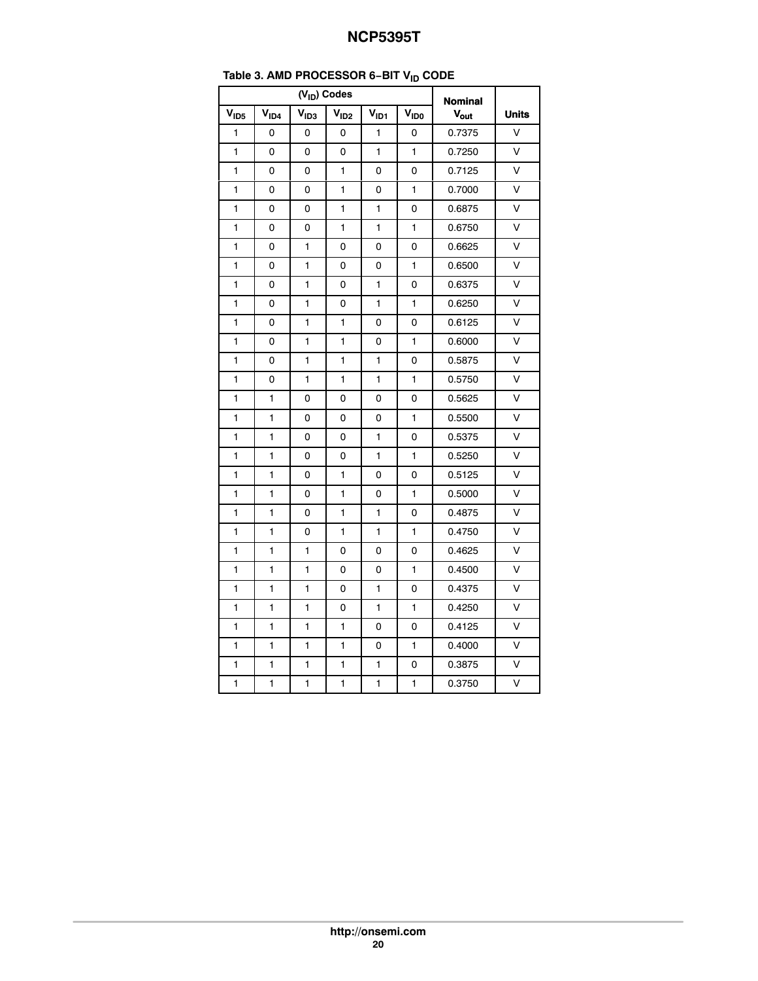|                  | טוי<br>$(V_{ID})$ Codes |                  |                  |              |                  |                                    |                         |  |  |  |
|------------------|-------------------------|------------------|------------------|--------------|------------------|------------------------------------|-------------------------|--|--|--|
| V <sub>ID5</sub> | V <sub>ID4</sub>        | V <sub>ID3</sub> | V <sub>ID2</sub> | $V_{ID1}$    | V <sub>IDO</sub> | <b>Nominal</b><br>$V_{\text{out}}$ | <b>Units</b>            |  |  |  |
| $\mathbf{1}$     | 0                       | 0                | 0                | 1            | 0                | 0.7375                             | V                       |  |  |  |
| 1                | 0                       | 0                | 0                | 1            | 1                | 0.7250                             | V                       |  |  |  |
|                  |                         |                  |                  |              |                  |                                    | V                       |  |  |  |
| 1                | 0                       | 0                | 1                | 0            | 0                | 0.7125                             |                         |  |  |  |
| 1                | 0                       | 0                | 1                | 0            | 1                | 0.7000                             | V                       |  |  |  |
| 1                | 0                       | 0                | 1                | $\mathbf{1}$ | 0                | 0.6875                             | V                       |  |  |  |
| 1                | 0                       | 0                | 1                | 1            | 1                | 0.6750                             | V                       |  |  |  |
| 1                | 0                       | 1                | 0                | 0            | 0                | 0.6625                             | $\vee$                  |  |  |  |
| 1                | 0                       | 1                | 0                | 0            | 1                | 0.6500                             | V                       |  |  |  |
| 1                | 0                       | 1                | 0                | 1            | 0                | 0.6375                             | V                       |  |  |  |
| 1                | 0                       | 1                | 0                | 1            | 1                | 0.6250                             | V                       |  |  |  |
| 1                | 0                       | 1                | 1                | 0            | 0                | 0.6125                             | V                       |  |  |  |
| 1                | 0                       | 1                | 1                | 0            | 1                | 0.6000                             | V                       |  |  |  |
| 1                | 0                       | 1                | 1                | 1            | 0                | 0.5875                             | $\vee$                  |  |  |  |
| 1                | 0                       | $\blacksquare$   | $\mathbf{1}$     | $\mathbf{1}$ | 1                | 0.5750                             | $\vee$                  |  |  |  |
| 1                | 1                       | 0                | 0                | 0            | 0                | 0.5625                             | V                       |  |  |  |
| 1                | 1                       | 0                | 0                | 0            | 1                | 0.5500                             | $\vee$                  |  |  |  |
| 1                | 1                       | 0                | 0                | $\mathbf{1}$ | 0                | 0.5375                             | $\vee$                  |  |  |  |
| 1                | 1                       | 0                | 0                | 1            | 1                | 0.5250                             | $\vee$                  |  |  |  |
| 1                | 1                       | 0                | 1                | 0            | 0                | 0.5125                             | $\vee$                  |  |  |  |
| 1                | 1                       | 0                | $\mathbf{1}$     | 0            | 1                | 0.5000                             | $\vee$                  |  |  |  |
| 1                | 1                       | 0                | 1                | 1            | 0                | 0.4875                             | V                       |  |  |  |
| 1                | 1                       | 0                | 1                | 1            | 1                | 0.4750                             | V                       |  |  |  |
| 1                | 1                       | 1                | 0                | 0            | 0                | 0.4625                             | $\vee$                  |  |  |  |
| 1                | 1                       | 1                | 0                | 0            | 1                | 0.4500                             | V                       |  |  |  |
| 1                | 1                       | 1                | 0                | 1            | 0                | 0.4375                             | V                       |  |  |  |
| 1                | 1                       | 1                | 0                | $\mathbf{1}$ | 1                | 0.4250                             | $\overline{\mathsf{v}}$ |  |  |  |
| 1                | 1                       | 1                | 1                | 0            | 0                | 0.4125                             | V                       |  |  |  |
| 1                | 1                       | 1                | 1                | 0            | 1                | 0.4000                             | v                       |  |  |  |
| $\mathbf{1}$     | 1                       | 1                | 1                | 1            | 0                | 0.3875                             | $\vee$                  |  |  |  |
| 1                | 1                       | $\mathbf{1}$     | 1                | 1            | $\mathbf{1}$     | 0.3750                             | $\overline{\mathsf{v}}$ |  |  |  |

### **Table [3.](#page-18-0) AMD PROCESSOR 6−BIT VID CODE**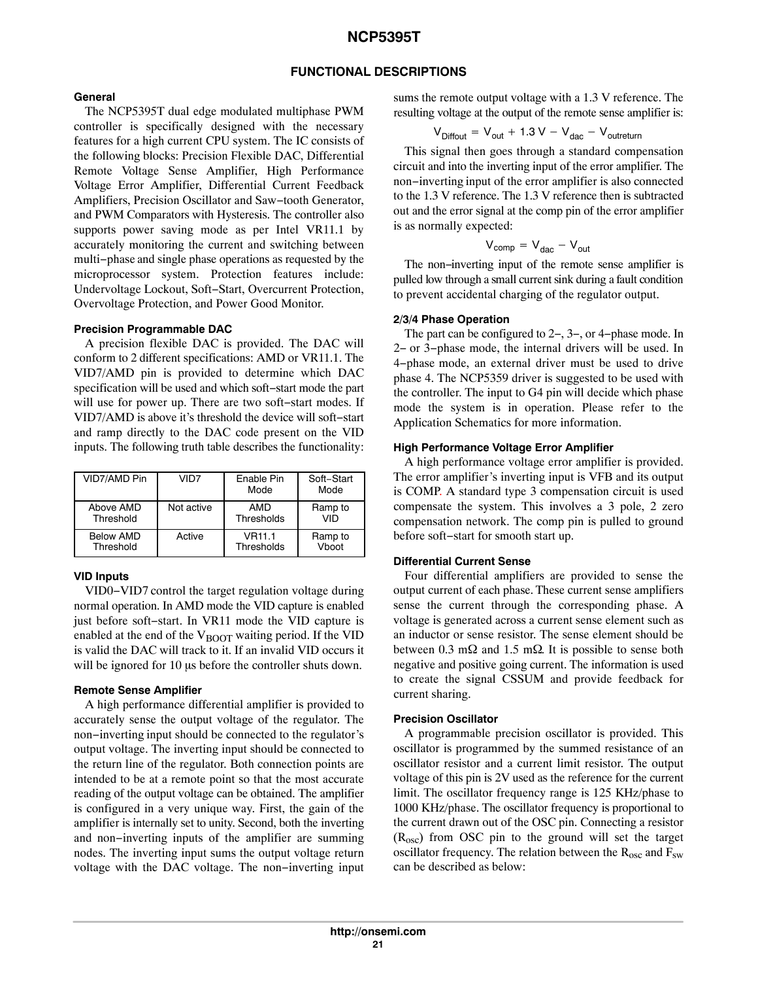#### **FUNCTIONAL DESCRIPTIONS**

#### **General**

The NCP5395T dual edge modulated multiphase PWM controller is specifically designed with the necessary features for a high current CPU system. The IC consists of the following blocks: Precision Flexible DAC, Differential Remote Voltage Sense Amplifier, High Performance Voltage Error Amplifier, Differential Current Feedback Amplifiers, Precision Oscillator and Saw−tooth Generator, and PWM Comparators with Hysteresis. The controller also supports power saving mode as per Intel VR11.1 by accurately monitoring the current and switching between multi−phase and single phase operations as requested by the microprocessor system. Protection features include: Undervoltage Lockout, Soft−Start, Overcurrent Protection, Overvoltage Protection, and Power Good Monitor.

#### **Precision Programmable DAC**

A precision flexible DAC is provided. The DAC will conform to 2 different specifications: AMD or VR11.1. The VID7/AMD pin is provided to determine which DAC specification will be used and which soft−start mode the part will use for power up. There are two soft−start modes. If VID7/AMD is above it's threshold the device will soft−start and ramp directly to the DAC code present on the VID inputs. The following truth table describes the functionality:

| VID7/AMD Pin     | VID7       | Fnable Pin<br>Mode | Soft-Start<br>Mode |
|------------------|------------|--------------------|--------------------|
| Above AMD        | Not active | <b>AMD</b>         | Ramp to            |
| Threshold        |            | Thresholds         | VID                |
| <b>Below AMD</b> | Active     | <b>VR11.1</b>      | Ramp to            |
| Threshold        |            | Thresholds         | Vboot              |

#### **VID Inputs**

VID0−VID7 control the target regulation voltage during normal operation. In AMD mode the VID capture is enabled just before soft−start. In VR11 mode the VID capture is enabled at the end of the  $V_{\text{BOOT}}$  waiting period. If the VID is valid the DAC will track to it. If an invalid VID occurs it will be ignored for 10  $\mu$ s before the controller shuts down.

#### **Remote Sense Amplifier**

A high performance differential amplifier is provided to accurately sense the output voltage of the regulator. The non−inverting input should be connected to the regulator's output voltage. The inverting input should be connected to the return line of the regulator. Both connection points are intended to be at a remote point so that the most accurate reading of the output voltage can be obtained. The amplifier is configured in a very unique way. First, the gain of the amplifier is internally set to unity. Second, both the inverting and non−inverting inputs of the amplifier are summing nodes. The inverting input sums the output voltage return voltage with the DAC voltage. The non−inverting input sums the remote output voltage with a 1.3 V reference. The resulting voltage at the output of the remote sense amplifier is:

$$
V_{\text{Diffout}} = V_{\text{out}} + 1.3 V - V_{\text{dac}} - V_{\text{outreturn}}
$$

This signal then goes through a standard compensation circuit and into the inverting input of the error amplifier. The non−inverting input of the error amplifier is also connected to the 1.3 V reference. The 1.3 V reference then is subtracted out and the error signal at the comp pin of the error amplifier is as normally expected:

$$
V_{comp} = V_{dac} - V_{out}
$$

The non−inverting input of the remote sense amplifier is pulled low through a small current sink during a fault condition to prevent accidental charging of the regulator output.

#### **2/3/4 Phase Operation**

The part can be configured to 2−, 3−, or 4−phase mode. In 2− or 3−phase mode, the internal drivers will be used. In 4−phase mode, an external driver must be used to drive phase 4. The NCP5359 driver is suggested to be used with the controller. The input to G4 pin will decide which phase mode the system is in operation. Please refer to the Application Schematics for more information.

#### **High Performance Voltage Error Amplifier**

A high performance voltage error amplifier is provided. The error amplifier's inverting input is VFB and its output is COMP. A standard type 3 compensation circuit is used compensate the system. This involves a 3 pole, 2 zero compensation network. The comp pin is pulled to ground before soft−start for smooth start up.

#### **Differential Current Sense**

Four differential amplifiers are provided to sense the output current of each phase. These current sense amplifiers sense the current through the corresponding phase. A voltage is generated across a current sense element such as an inductor or sense resistor. The sense element should be between 0.3 m $\Omega$  and 1.5 m $\Omega$ . It is possible to sense both negative and positive going current. The information is used to create the signal CSSUM and provide feedback for current sharing.

#### **Precision Oscillator**

A programmable precision oscillator is provided. This oscillator is programmed by the summed resistance of an oscillator resistor and a current limit resistor. The output voltage of this pin is 2V used as the reference for the current limit. The oscillator frequency range is 125 KHz/phase to 1000 KHz/phase. The oscillator frequency is proportional to the current drawn out of the OSC pin. Connecting a resistor  $(R<sub>osc</sub>)$  from OSC pin to the ground will set the target oscillator frequency. The relation between the  $R_{osc}$  and  $F_{sw}$ can be described as below: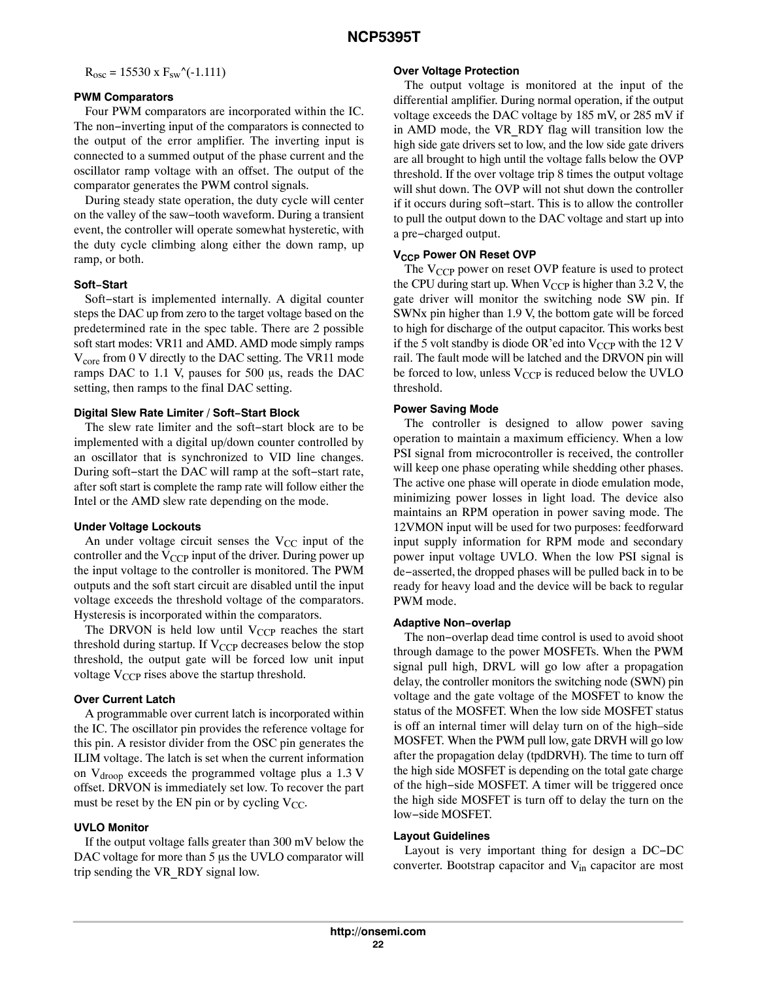$R_{osc} = 15530 \text{ x } F_{sw}^{\prime}(-1.111)$ 

#### **PWM Comparators**

Four PWM comparators are incorporated within the IC. The non−inverting input of the comparators is connected to the output of the error amplifier. The inverting input is connected to a summed output of the phase current and the oscillator ramp voltage with an offset. The output of the comparator generates the PWM control signals.

During steady state operation, the duty cycle will center on the valley of the saw−tooth waveform. During a transient event, the controller will operate somewhat hysteretic, with the duty cycle climbing along either the down ramp, up ramp, or both.

#### **Soft−Start**

Soft−start is implemented internally. A digital counter steps the DAC up from zero to the target voltage based on the predetermined rate in the spec table. There are 2 possible soft start modes: VR11 and AMD. AMD mode simply ramps  $V_{\text{core}}$  from 0 V directly to the DAC setting. The VR11 mode ramps DAC to 1.1 V, pauses for 500 µs, reads the DAC setting, then ramps to the final DAC setting.

#### **Digital Slew Rate Limiter / Soft−Start Block**

The slew rate limiter and the soft−start block are to be implemented with a digital up/down counter controlled by an oscillator that is synchronized to VID line changes. During soft−start the DAC will ramp at the soft−start rate, after soft start is complete the ramp rate will follow either the Intel or the AMD slew rate depending on the mode.

#### **Under Voltage Lockouts**

An under voltage circuit senses the  $V_{CC}$  input of the controller and the  $V_{CCP}$  input of the driver. During power up the input voltage to the controller is monitored. The PWM outputs and the soft start circuit are disabled until the input voltage exceeds the threshold voltage of the comparators. Hysteresis is incorporated within the comparators.

The DRVON is held low until  $V_{CCP}$  reaches the start threshold during startup. If  $V_{CCP}$  decreases below the stop threshold, the output gate will be forced low unit input voltage  $V_{CCP}$  rises above the startup threshold.

#### **Over Current Latch**

A programmable over current latch is incorporated within the IC. The oscillator pin provides the reference voltage for this pin. A resistor divider from the OSC pin generates the ILIM voltage. The latch is set when the current information on  $V_{\text{drop}}$  exceeds the programmed voltage plus a 1.3 V offset. DRVON is immediately set low. To recover the part must be reset by the EN pin or by cycling  $V_{CC}$ .

#### **UVLO Monitor**

If the output voltage falls greater than 300 mV below the DAC voltage for more than 5 us the UVLO comparator will trip sending the VR\_RDY signal low.

#### **Over Voltage Protection**

The output voltage is monitored at the input of the differential amplifier. During normal operation, if the output voltage exceeds the DAC voltage by 185 mV, or 285 mV if in AMD mode, the VR\_RDY flag will transition low the high side gate drivers set to low, and the low side gate drivers are all brought to high until the voltage falls below the OVP threshold. If the over voltage trip 8 times the output voltage will shut down. The OVP will not shut down the controller if it occurs during soft−start. This is to allow the controller to pull the output down to the DAC voltage and start up into a pre−charged output.

#### **V<sub>CCP</sub> Power ON Reset OVP**

The  $V_{CCP}$  power on reset OVP feature is used to protect the CPU during start up. When  $V_{CCP}$  is higher than 3.2 V, the gate driver will monitor the switching node SW pin. If SWNx pin higher than 1.9 V, the bottom gate will be forced to high for discharge of the output capacitor. This works best if the 5 volt standby is diode OR'ed into  $V_{CC}$  with the 12 V rail. The fault mode will be latched and the DRVON pin will be forced to low, unless  $V_{CCP}$  is reduced below the UVLO threshold.

#### **Power Saving Mode**

The controller is designed to allow power saving operation to maintain a maximum efficiency. When a low PSI signal from microcontroller is received, the controller will keep one phase operating while shedding other phases. The active one phase will operate in diode emulation mode, minimizing power losses in light load. The device also maintains an RPM operation in power saving mode. The 12VMON input will be used for two purposes: feedforward input supply information for RPM mode and secondary power input voltage UVLO. When the low PSI signal is de−asserted, the dropped phases will be pulled back in to be ready for heavy load and the device will be back to regular PWM mode.

#### **Adaptive Non−overlap**

The non−overlap dead time control is used to avoid shoot through damage to the power MOSFETs. When the PWM signal pull high, DRVL will go low after a propagation delay, the controller monitors the switching node (SWN) pin voltage and the gate voltage of the MOSFET to know the status of the MOSFET. When the low side MOSFET status is off an internal timer will delay turn on of the high–side MOSFET. When the PWM pull low, gate DRVH will go low after the propagation delay (tpdDRVH). The time to turn off the high side MOSFET is depending on the total gate charge of the high−side MOSFET. A timer will be triggered once the high side MOSFET is turn off to delay the turn on the low−side MOSFET.

#### **Layout Guidelines**

Layout is very important thing for design a DC−DC converter. Bootstrap capacitor and  $V_{in}$  capacitor are most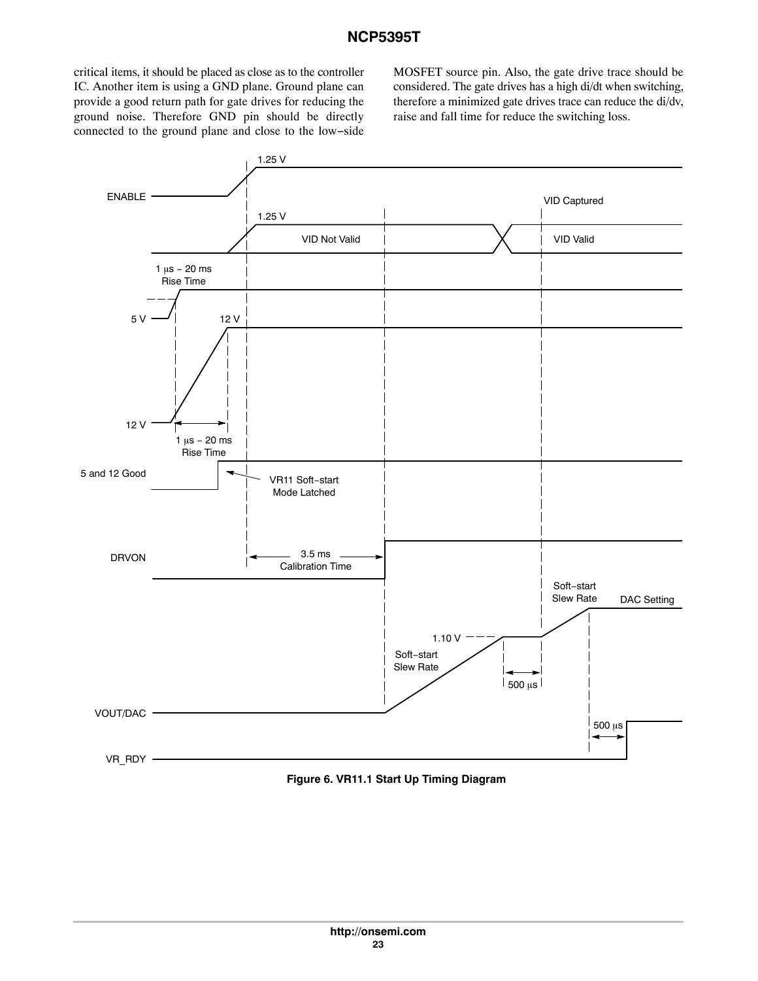critical items, it should be placed as close as to the controller IC. Another item is using a GND plane. Ground plane can provide a good return path for gate drives for reducing the ground noise. Therefore GND pin should be directly connected to the ground plane and close to the low−side

MOSFET source pin. Also, the gate drive trace should be considered. The gate drives has a high di/dt when switching, therefore a minimized gate drives trace can reduce the di/dv, raise and fall time for reduce the switching loss.



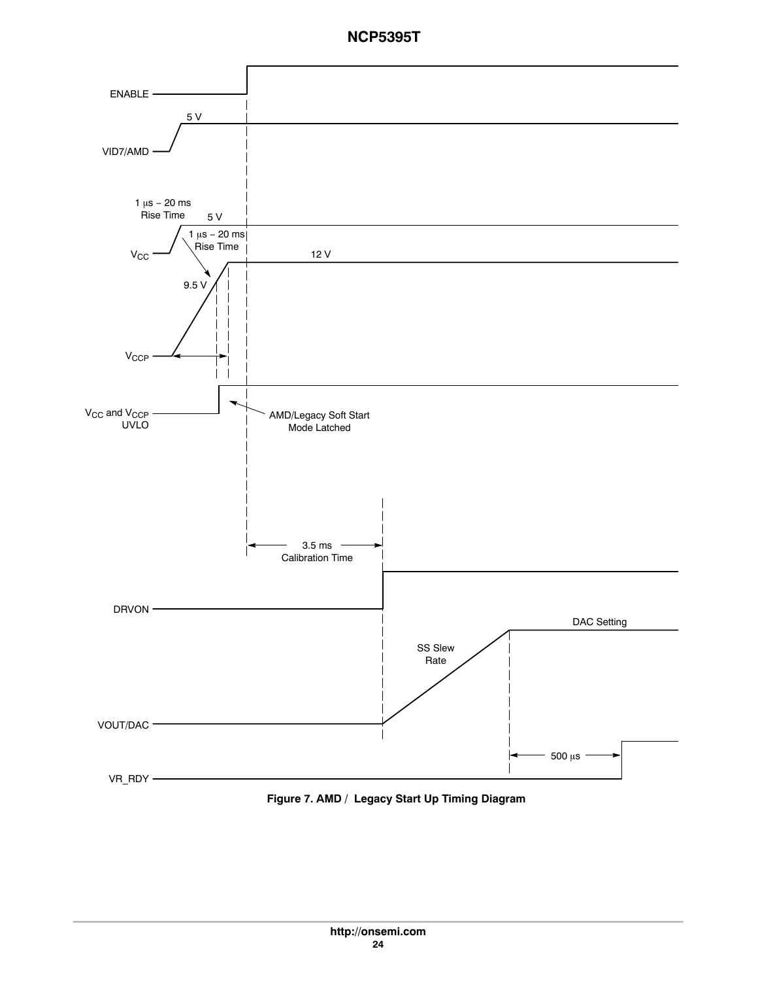